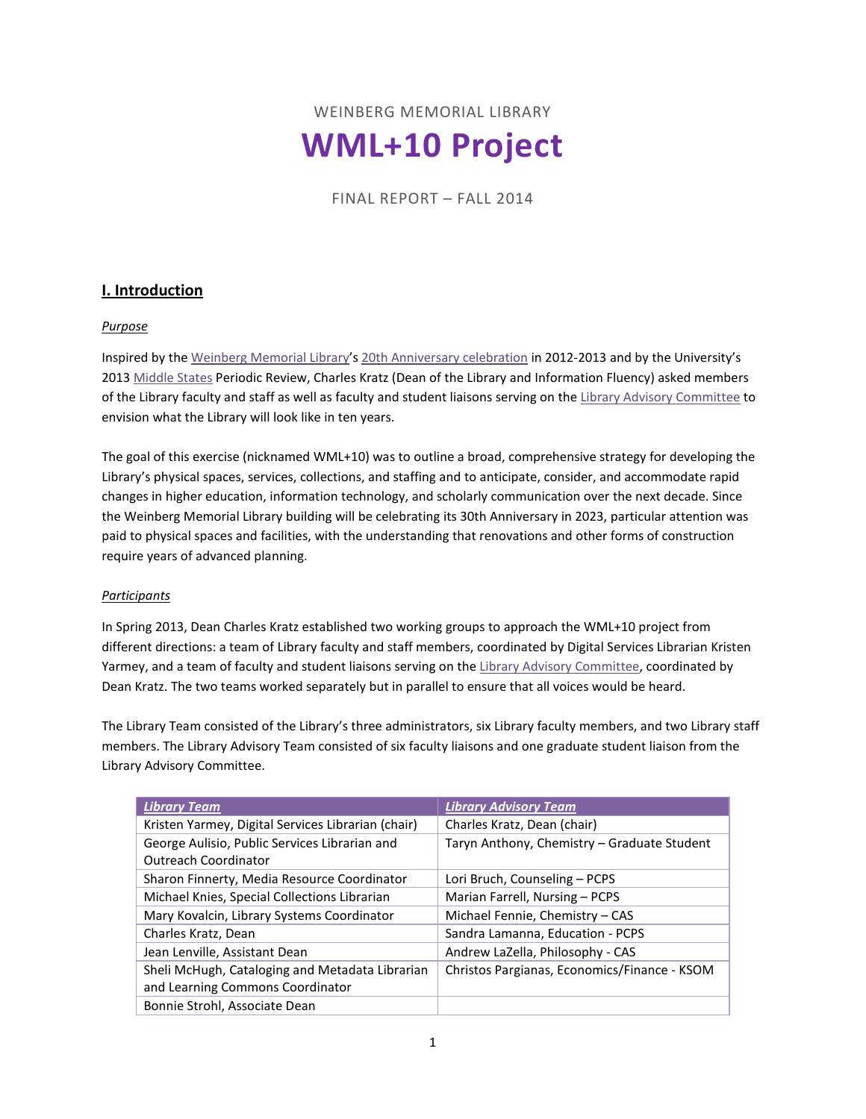WEINBERG MEMORIAL LIBRARY **WML+10 Project**

FINAL REPORT – FALL 2014

# **I. Introduction**

### *Purpose*

Inspired by the [Weinberg Memorial Library'](http://www.scranton.edu/library)s [20th Anniversary celebration](http://matrix.scranton.edu/academics/wml/wml201/index.shtml) in 2012-2013 and by the University's 201[3 Middle States](http://www.scranton.edu/pir/planning/middle%20states.shtml) Periodic Review, Charles Kratz (Dean of the Library and Information Fluency) asked members of the Library faculty and staff as well as faculty and student liaisons serving on th[e Library Advisory Committee](http://www.scranton.edu/academics/wml/libadcomm/index.shtml) to envision what the Library will look like in ten years.

The goal of this exercise (nicknamed WML+10) was to outline a broad, comprehensive strategy for developing the Library's physical spaces, services, collections, and staffing and to anticipate, consider, and accommodate rapid changes in higher education, information technology, and scholarly communication over the next decade. Since the Weinberg Memorial Library building will be celebrating its 30th Anniversary in 2023, particular attention was paid to physical spaces and facilities, with the understanding that renovations and other forms of construction require years of advanced planning.

#### *Participants*

In Spring 2013, Dean Charles Kratz established two working groups to approach the WML+10 project from different directions: a team of Library faculty and staff members, coordinated by Digital Services Librarian Kristen Yarmey, and a team of faculty and student liaisons serving on the [Library Advisory Committee,](http://www.scranton.edu/academics/wml/libadcomm/index.shtml) coordinated by Dean Kratz. The two teams worked separately but in parallel to ensure that all voices would be heard.

The Library Team consisted of the Library's three administrators, six Library faculty members, and two Library staff members. The Library Advisory Team consisted of six faculty liaisons and one graduate student liaison from the Library Advisory Committee.

| <b>Library Team</b>                                | <b>Library Advisory Team</b>                 |
|----------------------------------------------------|----------------------------------------------|
| Kristen Yarmey, Digital Services Librarian (chair) | Charles Kratz, Dean (chair)                  |
| George Aulisio, Public Services Librarian and      | Taryn Anthony, Chemistry - Graduate Student  |
| <b>Outreach Coordinator</b>                        |                                              |
| Sharon Finnerty, Media Resource Coordinator        | Lori Bruch, Counseling - PCPS                |
| Michael Knies, Special Collections Librarian       | Marian Farrell, Nursing - PCPS               |
| Mary Kovalcin, Library Systems Coordinator         | Michael Fennie, Chemistry - CAS              |
| Charles Kratz, Dean                                | Sandra Lamanna, Education - PCPS             |
| Jean Lenville, Assistant Dean                      | Andrew LaZella, Philosophy - CAS             |
| Sheli McHugh, Cataloging and Metadata Librarian    | Christos Pargianas, Economics/Finance - KSOM |
| and Learning Commons Coordinator                   |                                              |
| Bonnie Strohl, Associate Dean                      |                                              |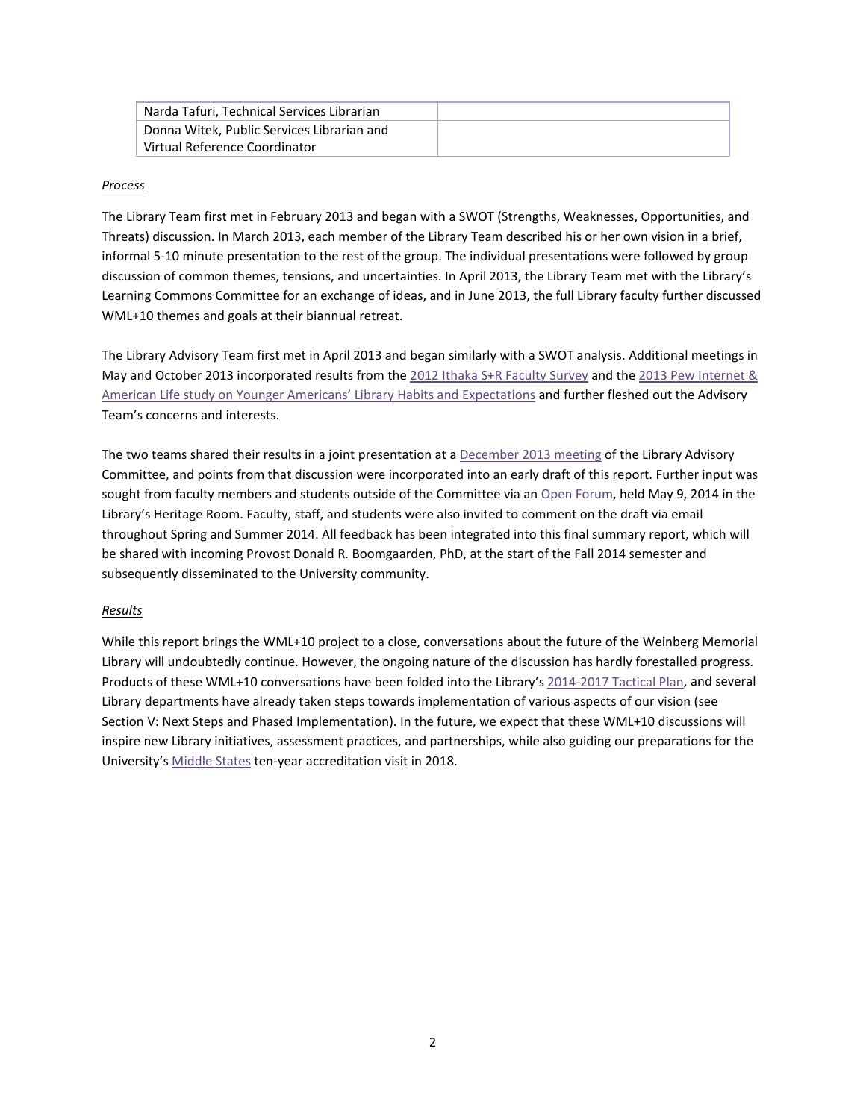| Narda Tafuri, Technical Services Librarian |  |
|--------------------------------------------|--|
| Donna Witek, Public Services Librarian and |  |
| Virtual Reference Coordinator              |  |

#### *Process*

The Library Team first met in February 2013 and began with a SWOT (Strengths, Weaknesses, Opportunities, and Threats) discussion. In March 2013, each member of the Library Team described his or her own vision in a brief, informal 5-10 minute presentation to the rest of the group. The individual presentations were followed by group discussion of common themes, tensions, and uncertainties. In April 2013, the Library Team met with the Library's Learning Commons Committee for an exchange of ideas, and in June 2013, the full Library faculty further discussed WML+10 themes and goals at their biannual retreat.

The Library Advisory Team first met in April 2013 and began similarly with a SWOT analysis. Additional meetings in May and October 2013 incorporated results from the 2012 Ithaka [S+R Faculty Survey](http://www.sr.ithaka.org/research-publications/us-faculty-survey-2012) and the [2013 Pew Internet &](http://libraries.pewinternet.org/2013/06/25/younger-americans-library-services/)  American Life study [on Younger Americans' Library Habits and Expectations](http://libraries.pewinternet.org/2013/06/25/younger-americans-library-services/) and further fleshed out the Advisory Team's concerns and interests.

The two teams shared their results in a joint presentation at a [December 2013 meeting](http://www.scranton.edu/academics/wml/libadcomm/docs/minutes%20Lac%20dec%209%202013.pdf) of the Library Advisory Committee, and points from that discussion were incorporated into an early draft of this report. Further input was sought from faculty members and students outside of the Committee via a[n Open Forum,](http://blogs.scranton.edu/library/2014/04/30/wml10-open-forum-on-the-future-of-the-library/) held May 9, 2014 in the Library's Heritage Room. Faculty, staff, and students were also invited to comment on the draft via email throughout Spring and Summer 2014. All feedback has been integrated into this final summary report, which will be shared with incoming Provost Donald R. Boomgaarden, PhD, at the start of the Fall 2014 semester and subsequently disseminated to the University community.

#### *Results*

While this report brings the WML+10 project to a close, conversations about the future of the Weinberg Memorial Library will undoubtedly continue. However, the ongoing nature of the discussion has hardly forestalled progress. Products of these WML+10 conversations have been folded into the Library's [2014-2017 Tactical Plan,](http://www.scranton.edu/academics/wml/about/mission/Tactical%20Plan.pdf) and several Library departments have already taken steps towards implementation of various aspects of our vision (see Section V: Next Steps and Phased Implementation). In the future, we expect that these WML+10 discussions will inspire new Library initiatives, assessment practices, and partnerships, while also guiding our preparations for the University's [Middle States](http://www.scranton.edu/pir/planning/middle%20states.shtml) ten-year accreditation visit in 2018.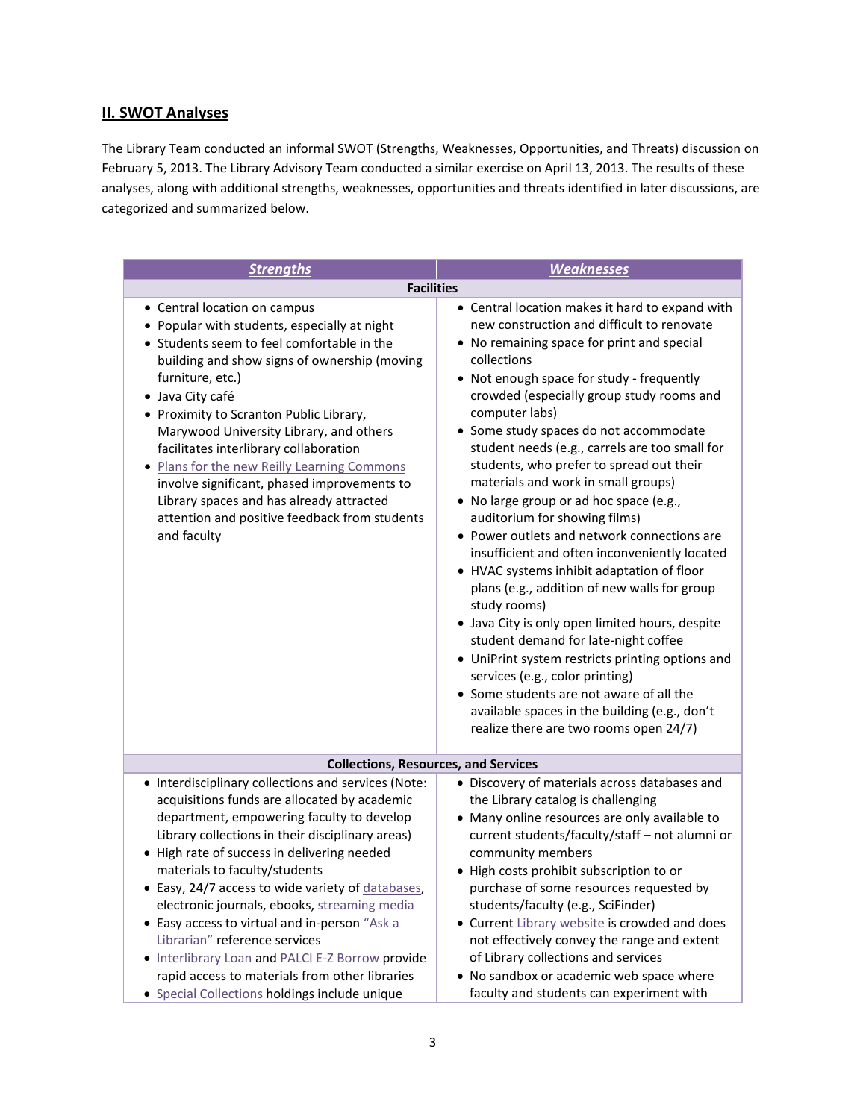# **II. SWOT Analyses**

The Library Team conducted an informal SWOT (Strengths, Weaknesses, Opportunities, and Threats) discussion on February 5, 2013. The Library Advisory Team conducted a similar exercise on April 13, 2013. The results of these analyses, along with additional strengths, weaknesses, opportunities and threats identified in later discussions, are categorized and summarized below.

| <b>Strengths</b>                                                                                                                                                                                                                                                                                                                                                                                                                                                                                                                                                                  | <b>Weaknesses</b>                                                                                                                                                                                                                                                                                                                                                                                                                                                                                                                                                                                                                                                                                                                                                                                                                                                                                                                                                                                                                                                        |
|-----------------------------------------------------------------------------------------------------------------------------------------------------------------------------------------------------------------------------------------------------------------------------------------------------------------------------------------------------------------------------------------------------------------------------------------------------------------------------------------------------------------------------------------------------------------------------------|--------------------------------------------------------------------------------------------------------------------------------------------------------------------------------------------------------------------------------------------------------------------------------------------------------------------------------------------------------------------------------------------------------------------------------------------------------------------------------------------------------------------------------------------------------------------------------------------------------------------------------------------------------------------------------------------------------------------------------------------------------------------------------------------------------------------------------------------------------------------------------------------------------------------------------------------------------------------------------------------------------------------------------------------------------------------------|
| <b>Facilities</b>                                                                                                                                                                                                                                                                                                                                                                                                                                                                                                                                                                 |                                                                                                                                                                                                                                                                                                                                                                                                                                                                                                                                                                                                                                                                                                                                                                                                                                                                                                                                                                                                                                                                          |
| • Central location on campus<br>• Popular with students, especially at night<br>• Students seem to feel comfortable in the<br>building and show signs of ownership (moving<br>furniture, etc.)<br>· Java City café<br>• Proximity to Scranton Public Library,<br>Marywood University Library, and others<br>facilitates interlibrary collaboration<br>. Plans for the new Reilly Learning Commons<br>involve significant, phased improvements to<br>Library spaces and has already attracted<br>attention and positive feedback from students<br>and faculty                      | • Central location makes it hard to expand with<br>new construction and difficult to renovate<br>• No remaining space for print and special<br>collections<br>• Not enough space for study - frequently<br>crowded (especially group study rooms and<br>computer labs)<br>• Some study spaces do not accommodate<br>student needs (e.g., carrels are too small for<br>students, who prefer to spread out their<br>materials and work in small groups)<br>• No large group or ad hoc space (e.g.,<br>auditorium for showing films)<br>• Power outlets and network connections are<br>insufficient and often inconveniently located<br>• HVAC systems inhibit adaptation of floor<br>plans (e.g., addition of new walls for group<br>study rooms)<br>• Java City is only open limited hours, despite<br>student demand for late-night coffee<br>• UniPrint system restricts printing options and<br>services (e.g., color printing)<br>• Some students are not aware of all the<br>available spaces in the building (e.g., don't<br>realize there are two rooms open 24/7) |
| <b>Collections, Resources, and Services</b>                                                                                                                                                                                                                                                                                                                                                                                                                                                                                                                                       |                                                                                                                                                                                                                                                                                                                                                                                                                                                                                                                                                                                                                                                                                                                                                                                                                                                                                                                                                                                                                                                                          |
| • Interdisciplinary collections and services (Note:<br>acquisitions funds are allocated by academic<br>department, empowering faculty to develop<br>Library collections in their disciplinary areas)<br>• High rate of success in delivering needed<br>materials to faculty/students<br>• Easy, 24/7 access to wide variety of databases.<br>electronic journals, ebooks, streaming media<br>• Easy access to virtual and in-person "Ask a<br>Librarian" reference services<br>. Interlibrary Loan and PALCI E-Z Borrow provide<br>rapid access to materials from other libraries | • Discovery of materials across databases and<br>the Library catalog is challenging<br>• Many online resources are only available to<br>current students/faculty/staff - not alumni or<br>community members<br>• High costs prohibit subscription to or<br>purchase of some resources requested by<br>students/faculty (e.g., SciFinder)<br>• Current Library website is crowded and does<br>not effectively convey the range and extent<br>of Library collections and services<br>• No sandbox or academic web space where                                                                                                                                                                                                                                                                                                                                                                                                                                                                                                                                              |
| • Special Collections holdings include unique                                                                                                                                                                                                                                                                                                                                                                                                                                                                                                                                     | faculty and students can experiment with                                                                                                                                                                                                                                                                                                                                                                                                                                                                                                                                                                                                                                                                                                                                                                                                                                                                                                                                                                                                                                 |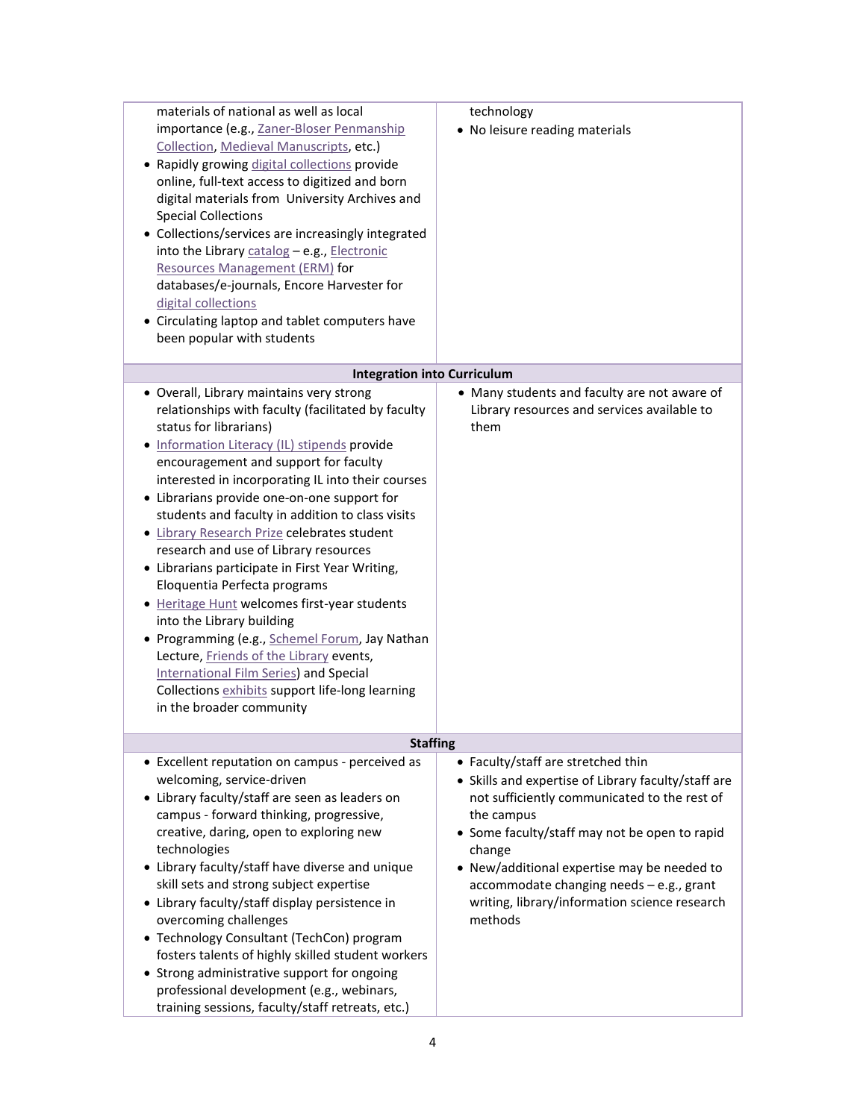| materials of national as well as local<br>importance (e.g., Zaner-Bloser Penmanship<br>Collection, Medieval Manuscripts, etc.)<br>• Rapidly growing digital collections provide<br>online, full-text access to digitized and born<br>digital materials from University Archives and<br><b>Special Collections</b><br>• Collections/services are increasingly integrated<br>into the Library catalog - e.g., Electronic<br>Resources Management (ERM) for                                                                                                                                                                                                                                                                                                                                                                                                | technology<br>• No leisure reading materials                                                                                                                                                                                                                                                                                                                              |
|---------------------------------------------------------------------------------------------------------------------------------------------------------------------------------------------------------------------------------------------------------------------------------------------------------------------------------------------------------------------------------------------------------------------------------------------------------------------------------------------------------------------------------------------------------------------------------------------------------------------------------------------------------------------------------------------------------------------------------------------------------------------------------------------------------------------------------------------------------|---------------------------------------------------------------------------------------------------------------------------------------------------------------------------------------------------------------------------------------------------------------------------------------------------------------------------------------------------------------------------|
| databases/e-journals, Encore Harvester for<br>digital collections<br>• Circulating laptop and tablet computers have<br>been popular with students                                                                                                                                                                                                                                                                                                                                                                                                                                                                                                                                                                                                                                                                                                       |                                                                                                                                                                                                                                                                                                                                                                           |
| <b>Integration into Curriculum</b>                                                                                                                                                                                                                                                                                                                                                                                                                                                                                                                                                                                                                                                                                                                                                                                                                      |                                                                                                                                                                                                                                                                                                                                                                           |
| • Overall, Library maintains very strong<br>relationships with faculty (facilitated by faculty<br>status for librarians)<br>· Information Literacy (IL) stipends provide<br>encouragement and support for faculty<br>interested in incorporating IL into their courses<br>• Librarians provide one-on-one support for<br>students and faculty in addition to class visits<br>· Library Research Prize celebrates student<br>research and use of Library resources<br>• Librarians participate in First Year Writing,<br>Eloquentia Perfecta programs<br>• Heritage Hunt welcomes first-year students<br>into the Library building<br>• Programming (e.g., Schemel Forum, Jay Nathan<br>Lecture, Friends of the Library events,<br>International Film Series) and Special<br>Collections exhibits support life-long learning<br>in the broader community | • Many students and faculty are not aware of<br>Library resources and services available to<br>them                                                                                                                                                                                                                                                                       |
| <b>Staffing</b>                                                                                                                                                                                                                                                                                                                                                                                                                                                                                                                                                                                                                                                                                                                                                                                                                                         |                                                                                                                                                                                                                                                                                                                                                                           |
| • Excellent reputation on campus - perceived as<br>welcoming, service-driven<br>• Library faculty/staff are seen as leaders on<br>campus - forward thinking, progressive,<br>creative, daring, open to exploring new<br>technologies<br>• Library faculty/staff have diverse and unique<br>skill sets and strong subject expertise<br>• Library faculty/staff display persistence in<br>overcoming challenges<br>• Technology Consultant (TechCon) program<br>fosters talents of highly skilled student workers<br>• Strong administrative support for ongoing<br>professional development (e.g., webinars,<br>training sessions, faculty/staff retreats, etc.)                                                                                                                                                                                         | • Faculty/staff are stretched thin<br>• Skills and expertise of Library faculty/staff are<br>not sufficiently communicated to the rest of<br>the campus<br>• Some faculty/staff may not be open to rapid<br>change<br>• New/additional expertise may be needed to<br>accommodate changing needs - e.g., grant<br>writing, library/information science research<br>methods |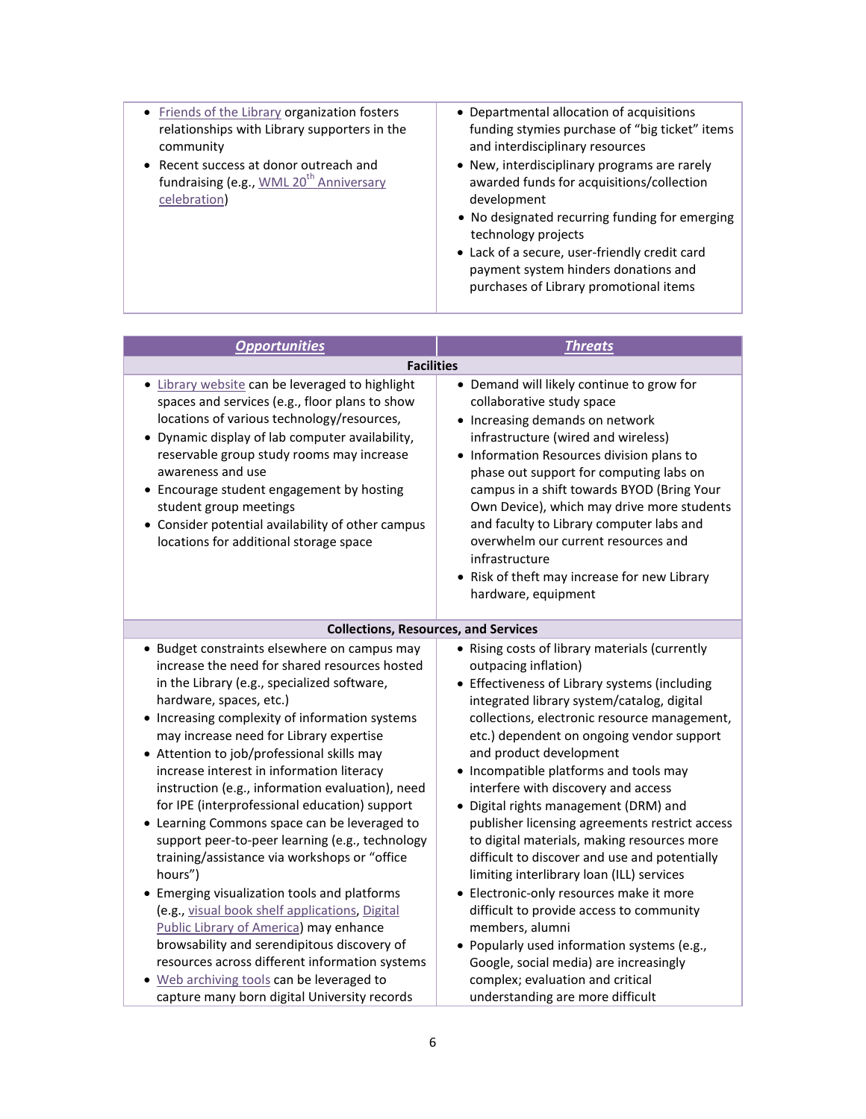| • Friends of the Library organization fosters<br>relationships with Library supporters in the<br>community<br>• Recent success at donor outreach and<br>fundraising (e.g., WML 20 <sup>th</sup> Anniversary<br>celebration) | • Departmental allocation of acquisitions<br>funding stymies purchase of "big ticket" items<br>and interdisciplinary resources<br>• New, interdisciplinary programs are rarely<br>awarded funds for acquisitions/collection<br>development<br>• No designated recurring funding for emerging<br>technology projects<br>• Lack of a secure, user-friendly credit card<br>payment system hinders donations and<br>purchases of Library promotional items |
|-----------------------------------------------------------------------------------------------------------------------------------------------------------------------------------------------------------------------------|--------------------------------------------------------------------------------------------------------------------------------------------------------------------------------------------------------------------------------------------------------------------------------------------------------------------------------------------------------------------------------------------------------------------------------------------------------|

| <b>Opportunities</b>                                                                                                                                                                                                                                                                                                                                                                                                                                                                                                                                                                                                                                                                                                                                                                                                                                                                                                                                                         | <b>Threats</b>                                                                                                                                                                                                                                                                                                                                                                                                                                                                                                                                                                                                                                                                                                                                                                                                                                                                                     |
|------------------------------------------------------------------------------------------------------------------------------------------------------------------------------------------------------------------------------------------------------------------------------------------------------------------------------------------------------------------------------------------------------------------------------------------------------------------------------------------------------------------------------------------------------------------------------------------------------------------------------------------------------------------------------------------------------------------------------------------------------------------------------------------------------------------------------------------------------------------------------------------------------------------------------------------------------------------------------|----------------------------------------------------------------------------------------------------------------------------------------------------------------------------------------------------------------------------------------------------------------------------------------------------------------------------------------------------------------------------------------------------------------------------------------------------------------------------------------------------------------------------------------------------------------------------------------------------------------------------------------------------------------------------------------------------------------------------------------------------------------------------------------------------------------------------------------------------------------------------------------------------|
| <b>Facilities</b>                                                                                                                                                                                                                                                                                                                                                                                                                                                                                                                                                                                                                                                                                                                                                                                                                                                                                                                                                            |                                                                                                                                                                                                                                                                                                                                                                                                                                                                                                                                                                                                                                                                                                                                                                                                                                                                                                    |
| • Library website can be leveraged to highlight<br>spaces and services (e.g., floor plans to show<br>locations of various technology/resources,<br>• Dynamic display of lab computer availability,<br>reservable group study rooms may increase<br>awareness and use<br>• Encourage student engagement by hosting<br>student group meetings<br>• Consider potential availability of other campus<br>locations for additional storage space                                                                                                                                                                                                                                                                                                                                                                                                                                                                                                                                   | • Demand will likely continue to grow for<br>collaborative study space<br>• Increasing demands on network<br>infrastructure (wired and wireless)<br>• Information Resources division plans to<br>phase out support for computing labs on<br>campus in a shift towards BYOD (Bring Your<br>Own Device), which may drive more students<br>and faculty to Library computer labs and<br>overwhelm our current resources and<br>infrastructure<br>• Risk of theft may increase for new Library<br>hardware, equipment                                                                                                                                                                                                                                                                                                                                                                                   |
| <b>Collections, Resources, and Services</b>                                                                                                                                                                                                                                                                                                                                                                                                                                                                                                                                                                                                                                                                                                                                                                                                                                                                                                                                  |                                                                                                                                                                                                                                                                                                                                                                                                                                                                                                                                                                                                                                                                                                                                                                                                                                                                                                    |
| • Budget constraints elsewhere on campus may<br>increase the need for shared resources hosted<br>in the Library (e.g., specialized software,<br>hardware, spaces, etc.)<br>• Increasing complexity of information systems<br>may increase need for Library expertise<br>• Attention to job/professional skills may<br>increase interest in information literacy<br>instruction (e.g., information evaluation), need<br>for IPE (interprofessional education) support<br>• Learning Commons space can be leveraged to<br>support peer-to-peer learning (e.g., technology<br>training/assistance via workshops or "office<br>hours")<br>• Emerging visualization tools and platforms<br>(e.g., visual book shelf applications, Digital<br>Public Library of America) may enhance<br>browsability and serendipitous discovery of<br>resources across different information systems<br>• Web archiving tools can be leveraged to<br>capture many born digital University records | • Rising costs of library materials (currently<br>outpacing inflation)<br>• Effectiveness of Library systems (including<br>integrated library system/catalog, digital<br>collections, electronic resource management,<br>etc.) dependent on ongoing vendor support<br>and product development<br>• Incompatible platforms and tools may<br>interfere with discovery and access<br>· Digital rights management (DRM) and<br>publisher licensing agreements restrict access<br>to digital materials, making resources more<br>difficult to discover and use and potentially<br>limiting interlibrary loan (ILL) services<br>• Electronic-only resources make it more<br>difficult to provide access to community<br>members, alumni<br>· Popularly used information systems (e.g.,<br>Google, social media) are increasingly<br>complex; evaluation and critical<br>understanding are more difficult |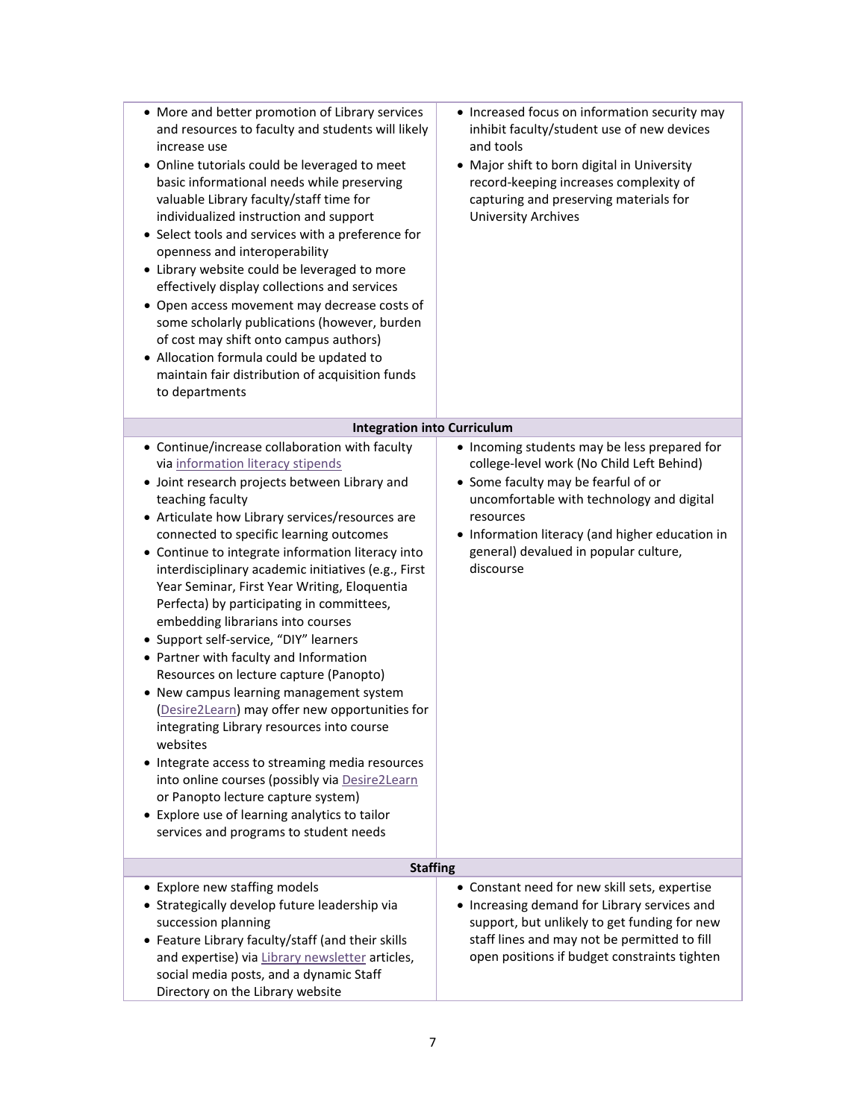| • More and better promotion of Library services<br>and resources to faculty and students will likely<br>increase use<br>• Online tutorials could be leveraged to meet<br>basic informational needs while preserving<br>valuable Library faculty/staff time for<br>individualized instruction and support<br>• Select tools and services with a preference for<br>openness and interoperability<br>• Library website could be leveraged to more<br>effectively display collections and services<br>• Open access movement may decrease costs of<br>some scholarly publications (however, burden<br>of cost may shift onto campus authors)<br>• Allocation formula could be updated to<br>maintain fair distribution of acquisition funds<br>to departments                                                                                                                                                                                                                                                                      | • Increased focus on information security may<br>inhibit faculty/student use of new devices<br>and tools<br>• Major shift to born digital in University<br>record-keeping increases complexity of<br>capturing and preserving materials for<br><b>University Archives</b>                           |  |
|--------------------------------------------------------------------------------------------------------------------------------------------------------------------------------------------------------------------------------------------------------------------------------------------------------------------------------------------------------------------------------------------------------------------------------------------------------------------------------------------------------------------------------------------------------------------------------------------------------------------------------------------------------------------------------------------------------------------------------------------------------------------------------------------------------------------------------------------------------------------------------------------------------------------------------------------------------------------------------------------------------------------------------|-----------------------------------------------------------------------------------------------------------------------------------------------------------------------------------------------------------------------------------------------------------------------------------------------------|--|
| <b>Integration into Curriculum</b>                                                                                                                                                                                                                                                                                                                                                                                                                                                                                                                                                                                                                                                                                                                                                                                                                                                                                                                                                                                             |                                                                                                                                                                                                                                                                                                     |  |
| • Continue/increase collaboration with faculty<br>via information literacy stipends<br>· Joint research projects between Library and<br>teaching faculty<br>• Articulate how Library services/resources are<br>connected to specific learning outcomes<br>• Continue to integrate information literacy into<br>interdisciplinary academic initiatives (e.g., First<br>Year Seminar, First Year Writing, Eloquentia<br>Perfecta) by participating in committees,<br>embedding librarians into courses<br>• Support self-service, "DIY" learners<br>• Partner with faculty and Information<br>Resources on lecture capture (Panopto)<br>• New campus learning management system<br>(Desire2Learn) may offer new opportunities for<br>integrating Library resources into course<br>websites<br>• Integrate access to streaming media resources<br>into online courses (possibly via Desire2Learn<br>or Panopto lecture capture system)<br>• Explore use of learning analytics to tailor<br>services and programs to student needs | • Incoming students may be less prepared for<br>college-level work (No Child Left Behind)<br>• Some faculty may be fearful of or<br>uncomfortable with technology and digital<br>resources<br>• Information literacy (and higher education in<br>general) devalued in popular culture,<br>discourse |  |
| <b>Staffing</b>                                                                                                                                                                                                                                                                                                                                                                                                                                                                                                                                                                                                                                                                                                                                                                                                                                                                                                                                                                                                                |                                                                                                                                                                                                                                                                                                     |  |
| • Explore new staffing models<br>• Strategically develop future leadership via<br>succession planning<br>• Feature Library faculty/staff (and their skills<br>and expertise) via Library newsletter articles,<br>social media posts, and a dynamic Staff<br>Directory on the Library website                                                                                                                                                                                                                                                                                                                                                                                                                                                                                                                                                                                                                                                                                                                                   | • Constant need for new skill sets, expertise<br>• Increasing demand for Library services and<br>support, but unlikely to get funding for new<br>staff lines and may not be permitted to fill<br>open positions if budget constraints tighten                                                       |  |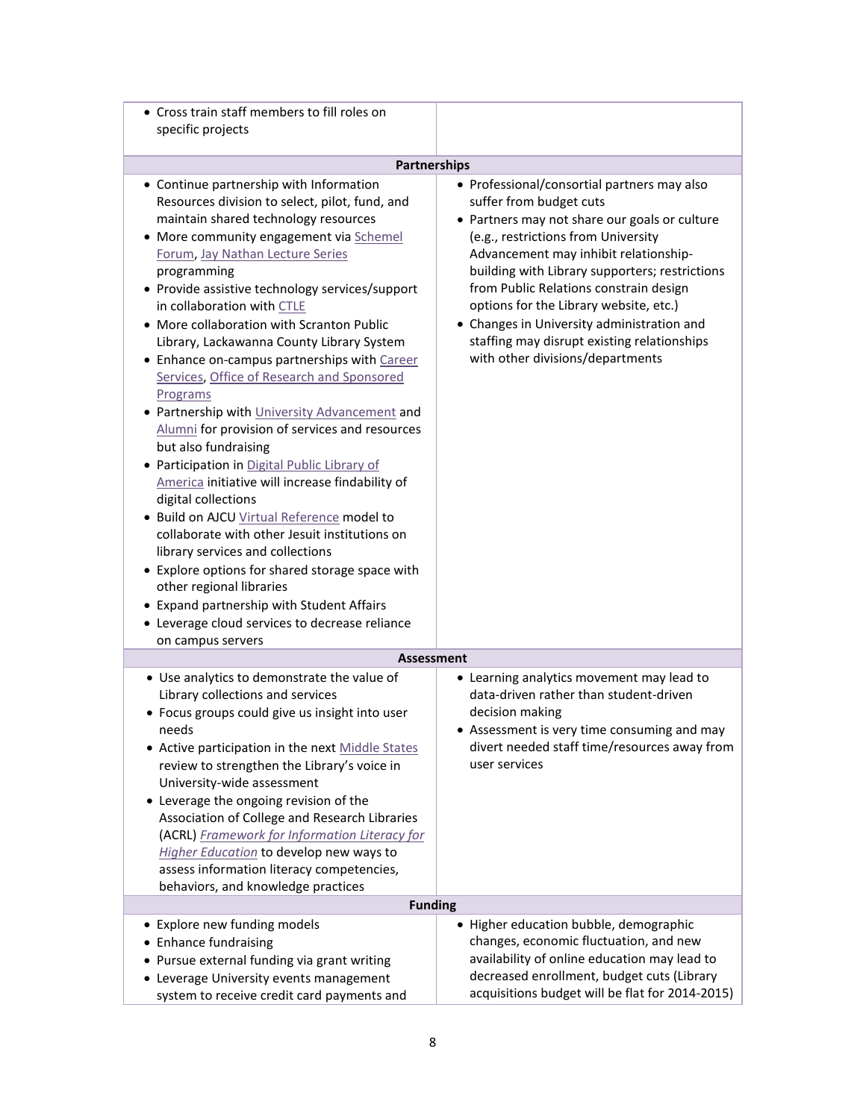| • Cross train staff members to fill roles on                                                                                                                                                                                                                                                                                                                                                                                                                                                                                                                                                                                                                                                                                                                                                                                                                                                                                                                                                                                                                                                                    |                                                                                                                                                                                                                                                                                                                                                                                                                                                                                |
|-----------------------------------------------------------------------------------------------------------------------------------------------------------------------------------------------------------------------------------------------------------------------------------------------------------------------------------------------------------------------------------------------------------------------------------------------------------------------------------------------------------------------------------------------------------------------------------------------------------------------------------------------------------------------------------------------------------------------------------------------------------------------------------------------------------------------------------------------------------------------------------------------------------------------------------------------------------------------------------------------------------------------------------------------------------------------------------------------------------------|--------------------------------------------------------------------------------------------------------------------------------------------------------------------------------------------------------------------------------------------------------------------------------------------------------------------------------------------------------------------------------------------------------------------------------------------------------------------------------|
| specific projects                                                                                                                                                                                                                                                                                                                                                                                                                                                                                                                                                                                                                                                                                                                                                                                                                                                                                                                                                                                                                                                                                               |                                                                                                                                                                                                                                                                                                                                                                                                                                                                                |
| <b>Partnerships</b>                                                                                                                                                                                                                                                                                                                                                                                                                                                                                                                                                                                                                                                                                                                                                                                                                                                                                                                                                                                                                                                                                             |                                                                                                                                                                                                                                                                                                                                                                                                                                                                                |
| • Continue partnership with Information<br>Resources division to select, pilot, fund, and<br>maintain shared technology resources<br>• More community engagement via Schemel<br>Forum, Jay Nathan Lecture Series<br>programming<br>• Provide assistive technology services/support<br>in collaboration with CTLE<br>• More collaboration with Scranton Public<br>Library, Lackawanna County Library System<br>• Enhance on-campus partnerships with Career<br>Services, Office of Research and Sponsored<br>Programs<br>• Partnership with University Advancement and<br>Alumni for provision of services and resources<br>but also fundraising<br>• Participation in Digital Public Library of<br>America initiative will increase findability of<br>digital collections<br>· Build on AJCU Virtual Reference model to<br>collaborate with other Jesuit institutions on<br>library services and collections<br>• Explore options for shared storage space with<br>other regional libraries<br>• Expand partnership with Student Affairs<br>• Leverage cloud services to decrease reliance<br>on campus servers | • Professional/consortial partners may also<br>suffer from budget cuts<br>• Partners may not share our goals or culture<br>(e.g., restrictions from University<br>Advancement may inhibit relationship-<br>building with Library supporters; restrictions<br>from Public Relations constrain design<br>options for the Library website, etc.)<br>• Changes in University administration and<br>staffing may disrupt existing relationships<br>with other divisions/departments |
| <b>Assessment</b>                                                                                                                                                                                                                                                                                                                                                                                                                                                                                                                                                                                                                                                                                                                                                                                                                                                                                                                                                                                                                                                                                               |                                                                                                                                                                                                                                                                                                                                                                                                                                                                                |
| • Use analytics to demonstrate the value of<br>Library collections and services<br>• Focus groups could give us insight into user<br>needs<br>• Active participation in the next Middle States<br>review to strengthen the Library's voice in<br>University-wide assessment<br>• Leverage the ongoing revision of the<br>Association of College and Research Libraries<br>(ACRL) Framework for Information Literacy for<br>Higher Education to develop new ways to<br>assess information literacy competencies,<br>behaviors, and knowledge practices                                                                                                                                                                                                                                                                                                                                                                                                                                                                                                                                                           | • Learning analytics movement may lead to<br>data-driven rather than student-driven<br>decision making<br>• Assessment is very time consuming and may<br>divert needed staff time/resources away from<br>user services                                                                                                                                                                                                                                                         |
| <b>Funding</b>                                                                                                                                                                                                                                                                                                                                                                                                                                                                                                                                                                                                                                                                                                                                                                                                                                                                                                                                                                                                                                                                                                  |                                                                                                                                                                                                                                                                                                                                                                                                                                                                                |
| • Explore new funding models<br>• Enhance fundraising<br>• Pursue external funding via grant writing<br>• Leverage University events management<br>system to receive credit card payments and                                                                                                                                                                                                                                                                                                                                                                                                                                                                                                                                                                                                                                                                                                                                                                                                                                                                                                                   | • Higher education bubble, demographic<br>changes, economic fluctuation, and new<br>availability of online education may lead to<br>decreased enrollment, budget cuts (Library<br>acquisitions budget will be flat for 2014-2015)                                                                                                                                                                                                                                              |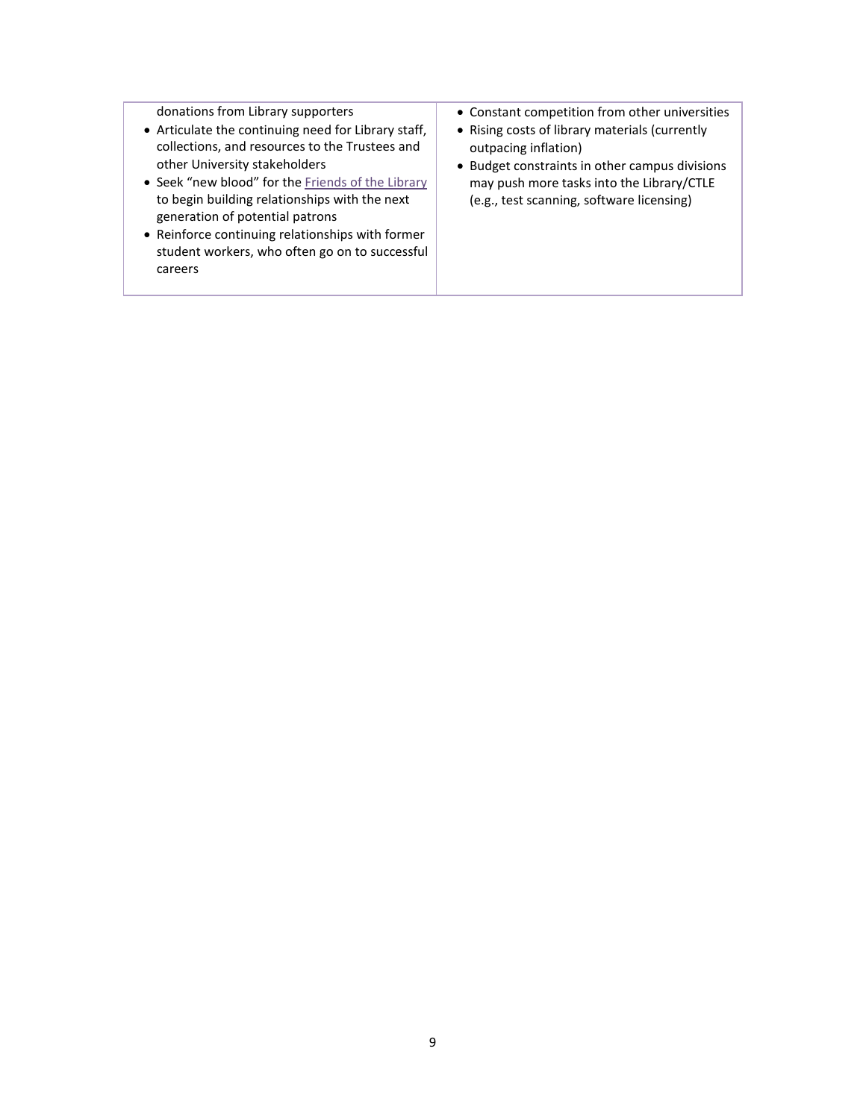donations from Library supporters

- Articulate the continuing need for Library staff, collections, and resources to the Trustees and other University stakeholders
- Seek "new blood" for th[e Friends of the Library](http://www.scranton.edu/academics/wml/friends/index.shtml) to begin building relationships with the next generation of potential patrons
- Reinforce continuing relationships with former student workers, who often go on to successful careers
- Constant competition from other universities
- Rising costs of library materials (currently outpacing inflation)
- Budget constraints in other campus divisions may push more tasks into the Library/CTLE (e.g., test scanning, software licensing)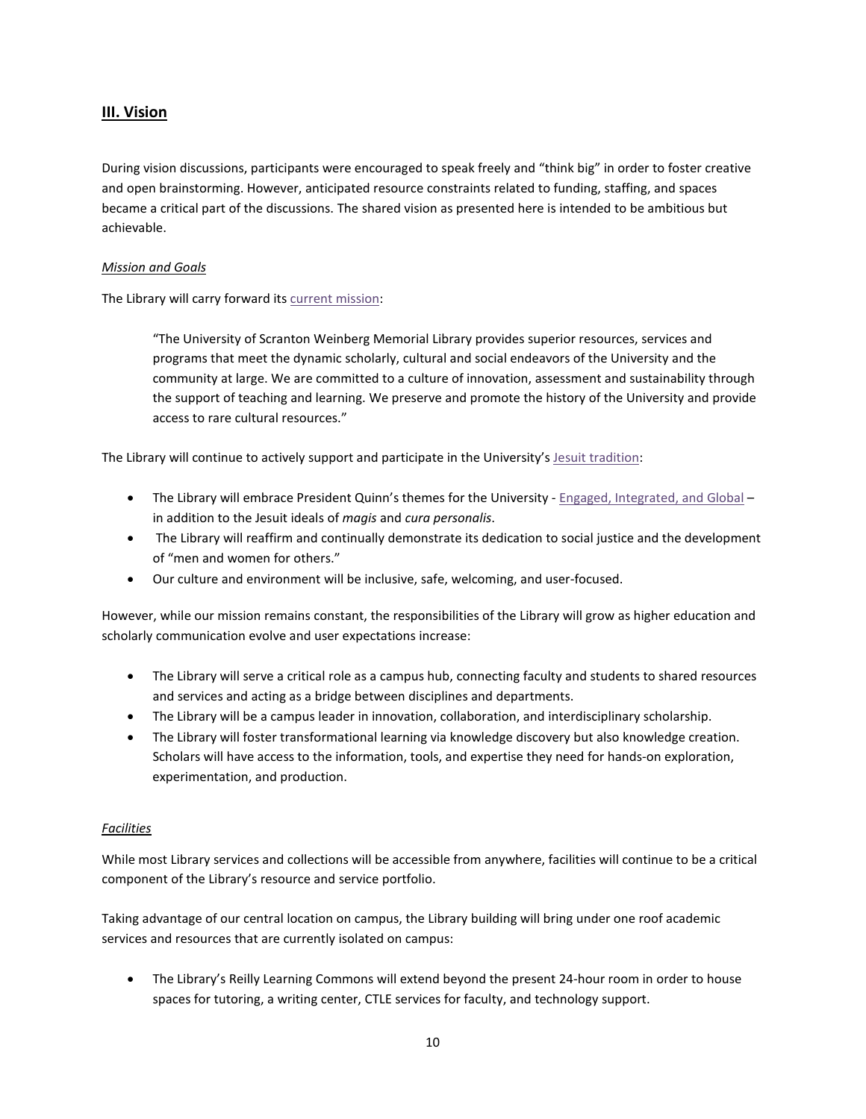# **III. Vision**

During vision discussions, participants were encouraged to speak freely and "think big" in order to foster creative and open brainstorming. However, anticipated resource constraints related to funding, staffing, and spaces became a critical part of the discussions. The shared vision as presented here is intended to be ambitious but achievable.

### *Mission and Goals*

The Library will carry forward its [current mission:](http://matrix.scranton.edu/academics/wml/about/mission/index.shtml)

"The University of Scranton Weinberg Memorial Library provides superior resources, services and programs that meet the dynamic scholarly, cultural and social endeavors of the University and the community at large. We are committed to a culture of innovation, assessment and sustainability through the support of teaching and learning. We preserve and promote the history of the University and provide access to rare cultural resources."

The Library will continue to actively support and participate in the University'[s Jesuit tradition:](http://www.scranton.edu/about/jesuit-tradition/index.shtml)

- The Library will embrace President Quinn's themes for the University [Engaged, Integrated, and Global](http://www.scranton.edu/about/presidents-office/images/Schemel-Forum-Lecture.pdf) in addition to the Jesuit ideals of *magis* and *cura personalis*.
- The Library will reaffirm and continually demonstrate its dedication to social justice and the development of "men and women for others."
- Our culture and environment will be inclusive, safe, welcoming, and user-focused.

However, while our mission remains constant, the responsibilities of the Library will grow as higher education and scholarly communication evolve and user expectations increase:

- The Library will serve a critical role as a campus hub, connecting faculty and students to shared resources and services and acting as a bridge between disciplines and departments.
- The Library will be a campus leader in innovation, collaboration, and interdisciplinary scholarship.
- The Library will foster transformational learning via knowledge discovery but also knowledge creation. Scholars will have access to the information, tools, and expertise they need for hands-on exploration, experimentation, and production.

### *Facilities*

While most Library services and collections will be accessible from anywhere, facilities will continue to be a critical component of the Library's resource and service portfolio.

Taking advantage of our central location on campus, the Library building will bring under one roof academic services and resources that are currently isolated on campus:

• The Library's Reilly Learning Commons will extend beyond the present 24-hour room in order to house spaces for tutoring, a writing center, CTLE services for faculty, and technology support.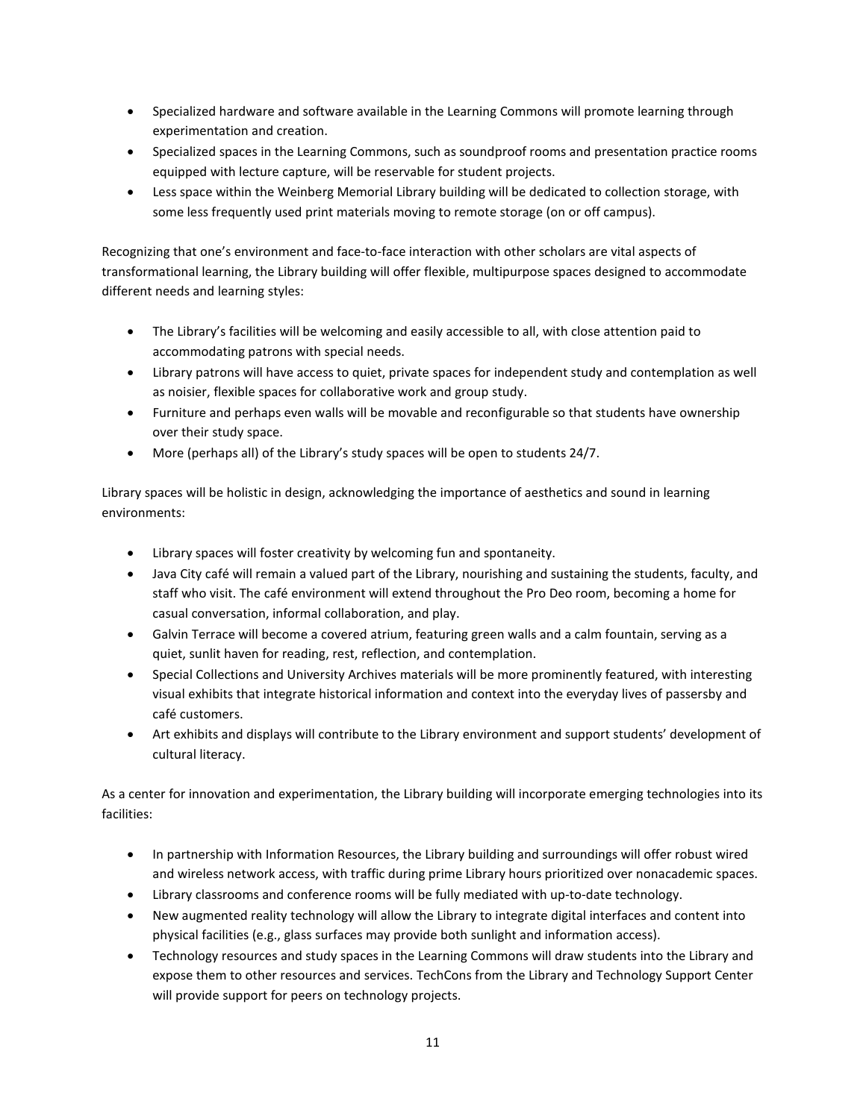- Specialized hardware and software available in the Learning Commons will promote learning through experimentation and creation.
- Specialized spaces in the Learning Commons, such as soundproof rooms and presentation practice rooms equipped with lecture capture, will be reservable for student projects.
- Less space within the Weinberg Memorial Library building will be dedicated to collection storage, with some less frequently used print materials moving to remote storage (on or off campus).

Recognizing that one's environment and face-to-face interaction with other scholars are vital aspects of transformational learning, the Library building will offer flexible, multipurpose spaces designed to accommodate different needs and learning styles:

- The Library's facilities will be welcoming and easily accessible to all, with close attention paid to accommodating patrons with special needs.
- Library patrons will have access to quiet, private spaces for independent study and contemplation as well as noisier, flexible spaces for collaborative work and group study.
- Furniture and perhaps even walls will be movable and reconfigurable so that students have ownership over their study space.
- More (perhaps all) of the Library's study spaces will be open to students 24/7.

Library spaces will be holistic in design, acknowledging the importance of aesthetics and sound in learning environments:

- Library spaces will foster creativity by welcoming fun and spontaneity.
- Java City café will remain a valued part of the Library, nourishing and sustaining the students, faculty, and staff who visit. The café environment will extend throughout the Pro Deo room, becoming a home for casual conversation, informal collaboration, and play.
- Galvin Terrace will become a covered atrium, featuring green walls and a calm fountain, serving as a quiet, sunlit haven for reading, rest, reflection, and contemplation.
- Special Collections and University Archives materials will be more prominently featured, with interesting visual exhibits that integrate historical information and context into the everyday lives of passersby and café customers.
- Art exhibits and displays will contribute to the Library environment and support students' development of cultural literacy.

As a center for innovation and experimentation, the Library building will incorporate emerging technologies into its facilities:

- In partnership with Information Resources, the Library building and surroundings will offer robust wired and wireless network access, with traffic during prime Library hours prioritized over nonacademic spaces.
- Library classrooms and conference rooms will be fully mediated with up-to-date technology.
- New augmented reality technology will allow the Library to integrate digital interfaces and content into physical facilities (e.g., glass surfaces may provide both sunlight and information access).
- Technology resources and study spaces in the Learning Commons will draw students into the Library and expose them to other resources and services. TechCons from the Library and Technology Support Center will provide support for peers on technology projects.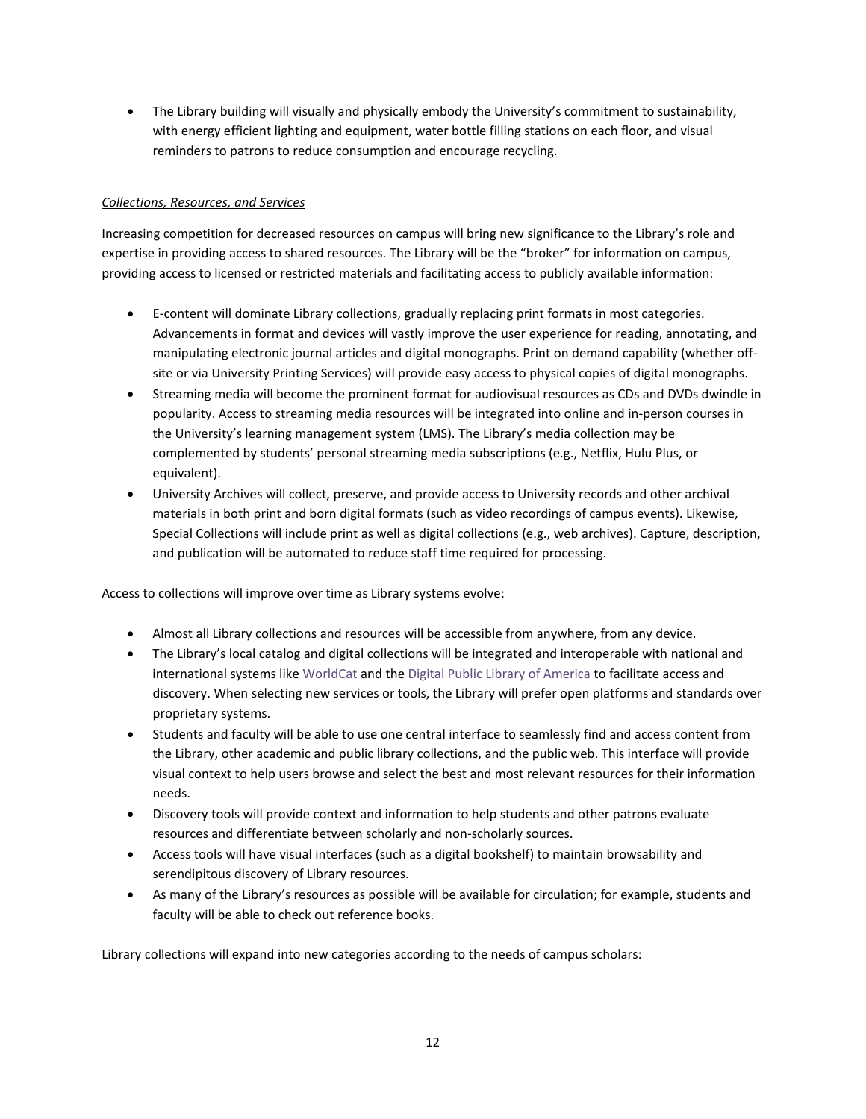• The Library building will visually and physically embody the University's commitment to sustainability, with energy efficient lighting and equipment, water bottle filling stations on each floor, and visual reminders to patrons to reduce consumption and encourage recycling.

## *Collections, Resources, and Services*

Increasing competition for decreased resources on campus will bring new significance to the Library's role and expertise in providing access to shared resources. The Library will be the "broker" for information on campus, providing access to licensed or restricted materials and facilitating access to publicly available information:

- E-content will dominate Library collections, gradually replacing print formats in most categories. Advancements in format and devices will vastly improve the user experience for reading, annotating, and manipulating electronic journal articles and digital monographs. Print on demand capability (whether offsite or via University Printing Services) will provide easy access to physical copies of digital monographs.
- Streaming media will become the prominent format for audiovisual resources as CDs and DVDs dwindle in popularity. Access to streaming media resources will be integrated into online and in-person courses in the University's learning management system (LMS). The Library's media collection may be complemented by students' personal streaming media subscriptions (e.g., Netflix, Hulu Plus, or equivalent).
- University Archives will collect, preserve, and provide access to University records and other archival materials in both print and born digital formats (such as video recordings of campus events). Likewise, Special Collections will include print as well as digital collections (e.g., web archives). Capture, description, and publication will be automated to reduce staff time required for processing.

Access to collections will improve over time as Library systems evolve:

- Almost all Library collections and resources will be accessible from anywhere, from any device.
- The Library's local catalog and digital collections will be integrated and interoperable with national and international systems like [WorldCat](https://www.worldcat.org/) and th[e Digital Public Library of America](http://dp.la/) to facilitate access and discovery. When selecting new services or tools, the Library will prefer open platforms and standards over proprietary systems.
- Students and faculty will be able to use one central interface to seamlessly find and access content from the Library, other academic and public library collections, and the public web. This interface will provide visual context to help users browse and select the best and most relevant resources for their information needs.
- Discovery tools will provide context and information to help students and other patrons evaluate resources and differentiate between scholarly and non-scholarly sources.
- Access tools will have visual interfaces (such as a digital bookshelf) to maintain browsability and serendipitous discovery of Library resources.
- As many of the Library's resources as possible will be available for circulation; for example, students and faculty will be able to check out reference books.

Library collections will expand into new categories according to the needs of campus scholars: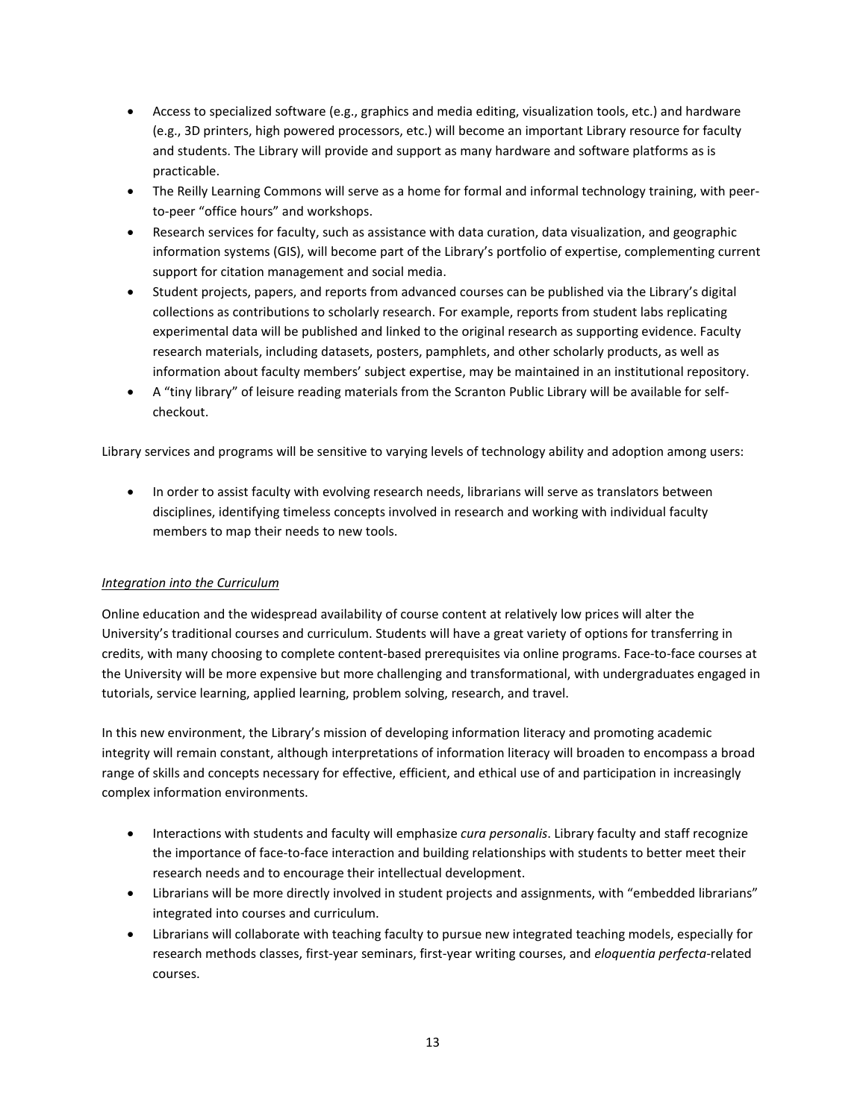- Access to specialized software (e.g., graphics and media editing, visualization tools, etc.) and hardware (e.g., 3D printers, high powered processors, etc.) will become an important Library resource for faculty and students. The Library will provide and support as many hardware and software platforms as is practicable.
- The Reilly Learning Commons will serve as a home for formal and informal technology training, with peerto-peer "office hours" and workshops.
- Research services for faculty, such as assistance with data curation, data visualization, and geographic information systems (GIS), will become part of the Library's portfolio of expertise, complementing current support for citation management and social media.
- Student projects, papers, and reports from advanced courses can be published via the Library's digital collections as contributions to scholarly research. For example, reports from student labs replicating experimental data will be published and linked to the original research as supporting evidence. Faculty research materials, including datasets, posters, pamphlets, and other scholarly products, as well as information about faculty members' subject expertise, may be maintained in an institutional repository.
- A "tiny library" of leisure reading materials from the Scranton Public Library will be available for selfcheckout.

Library services and programs will be sensitive to varying levels of technology ability and adoption among users:

• In order to assist faculty with evolving research needs, librarians will serve as translators between disciplines, identifying timeless concepts involved in research and working with individual faculty members to map their needs to new tools.

# *Integration into the Curriculum*

Online education and the widespread availability of course content at relatively low prices will alter the University's traditional courses and curriculum. Students will have a great variety of options for transferring in credits, with many choosing to complete content-based prerequisites via online programs. Face-to-face courses at the University will be more expensive but more challenging and transformational, with undergraduates engaged in tutorials, service learning, applied learning, problem solving, research, and travel.

In this new environment, the Library's mission of developing information literacy and promoting academic integrity will remain constant, although interpretations of information literacy will broaden to encompass a broad range of skills and concepts necessary for effective, efficient, and ethical use of and participation in increasingly complex information environments.

- Interactions with students and faculty will emphasize *cura personalis*. Library faculty and staff recognize the importance of face-to-face interaction and building relationships with students to better meet their research needs and to encourage their intellectual development.
- Librarians will be more directly involved in student projects and assignments, with "embedded librarians" integrated into courses and curriculum.
- Librarians will collaborate with teaching faculty to pursue new integrated teaching models, especially for research methods classes, first-year seminars, first-year writing courses, and *eloquentia perfecta*-related courses.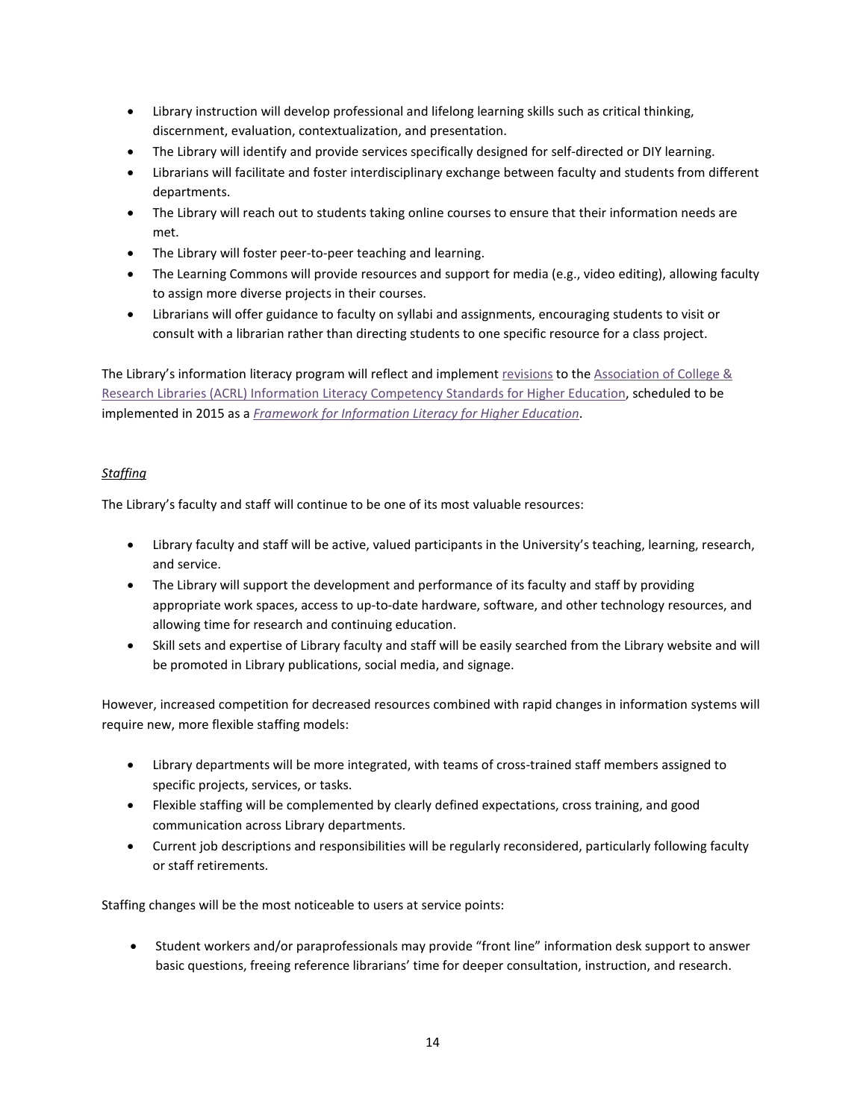- Library instruction will develop professional and lifelong learning skills such as critical thinking, discernment, evaluation, contextualization, and presentation.
- The Library will identify and provide services specifically designed for self-directed or DIY learning.
- Librarians will facilitate and foster interdisciplinary exchange between faculty and students from different departments.
- The Library will reach out to students taking online courses to ensure that their information needs are met.
- The Library will foster peer-to-peer teaching and learning.
- The Learning Commons will provide resources and support for media (e.g., video editing), allowing faculty to assign more diverse projects in their courses.
- Librarians will offer guidance to faculty on syllabi and assignments, encouraging students to visit or consult with a librarian rather than directing students to one specific resource for a class project.

The Library's information literacy program will reflect and implement [revisions](http://acrl.ala.org/ilstandards/) to the Association of College & Research Libraries (ACRL) [Information Literacy Competency Standards for Higher Education,](http://www.ala.org/acrl/standards/informationliteracycompetency) scheduled to be implemented in 2015 as a *[Framework for Information Literacy for Higher Education](http://acrl.ala.org/ilstandards/)*.

# *Staffing*

The Library's faculty and staff will continue to be one of its most valuable resources:

- Library faculty and staff will be active, valued participants in the University's teaching, learning, research, and service.
- The Library will support the development and performance of its faculty and staff by providing appropriate work spaces, access to up-to-date hardware, software, and other technology resources, and allowing time for research and continuing education.
- Skill sets and expertise of Library faculty and staff will be easily searched from the Library website and will be promoted in Library publications, social media, and signage.

However, increased competition for decreased resources combined with rapid changes in information systems will require new, more flexible staffing models:

- Library departments will be more integrated, with teams of cross-trained staff members assigned to specific projects, services, or tasks.
- Flexible staffing will be complemented by clearly defined expectations, cross training, and good communication across Library departments.
- Current job descriptions and responsibilities will be regularly reconsidered, particularly following faculty or staff retirements.

Staffing changes will be the most noticeable to users at service points:

• Student workers and/or paraprofessionals may provide "front line" information desk support to answer basic questions, freeing reference librarians' time for deeper consultation, instruction, and research.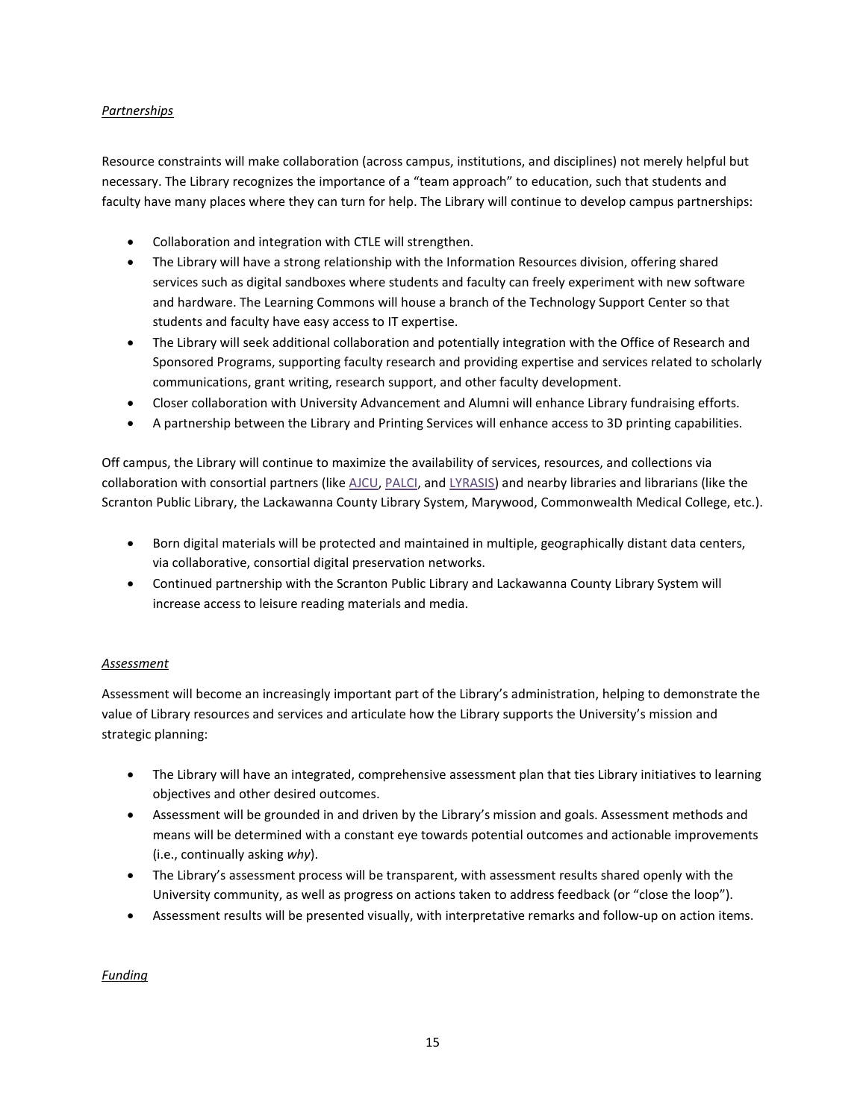### *Partnerships*

Resource constraints will make collaboration (across campus, institutions, and disciplines) not merely helpful but necessary. The Library recognizes the importance of a "team approach" to education, such that students and faculty have many places where they can turn for help. The Library will continue to develop campus partnerships:

- Collaboration and integration with CTLE will strengthen.
- The Library will have a strong relationship with the Information Resources division, offering shared services such as digital sandboxes where students and faculty can freely experiment with new software and hardware. The Learning Commons will house a branch of the Technology Support Center so that students and faculty have easy access to IT expertise.
- The Library will seek additional collaboration and potentially integration with the Office of Research and Sponsored Programs, supporting faculty research and providing expertise and services related to scholarly communications, grant writing, research support, and other faculty development.
- Closer collaboration with University Advancement and Alumni will enhance Library fundraising efforts.
- A partnership between the Library and Printing Services will enhance access to 3D printing capabilities.

Off campus, the Library will continue to maximize the availability of services, resources, and collections via collaboration with consortial partners (like [AJCU,](http://www.ajcunet.edu/) [PALCI,](http://www.palci.org/) and [LYRASIS\)](https://www.lyrasis.org/) and nearby libraries and librarians (like the Scranton Public Library, the Lackawanna County Library System, Marywood, Commonwealth Medical College, etc.).

- Born digital materials will be protected and maintained in multiple, geographically distant data centers, via collaborative, consortial digital preservation networks.
- Continued partnership with the Scranton Public Library and Lackawanna County Library System will increase access to leisure reading materials and media.

### *Assessment*

Assessment will become an increasingly important part of the Library's administration, helping to demonstrate the value of Library resources and services and articulate how the Library supports the University's mission and strategic planning:

- The Library will have an integrated, comprehensive assessment plan that ties Library initiatives to learning objectives and other desired outcomes.
- Assessment will be grounded in and driven by the Library's mission and goals. Assessment methods and means will be determined with a constant eye towards potential outcomes and actionable improvements (i.e., continually asking *why*).
- The Library's assessment process will be transparent, with assessment results shared openly with the University community, as well as progress on actions taken to address feedback (or "close the loop").
- Assessment results will be presented visually, with interpretative remarks and follow-up on action items.

### *Funding*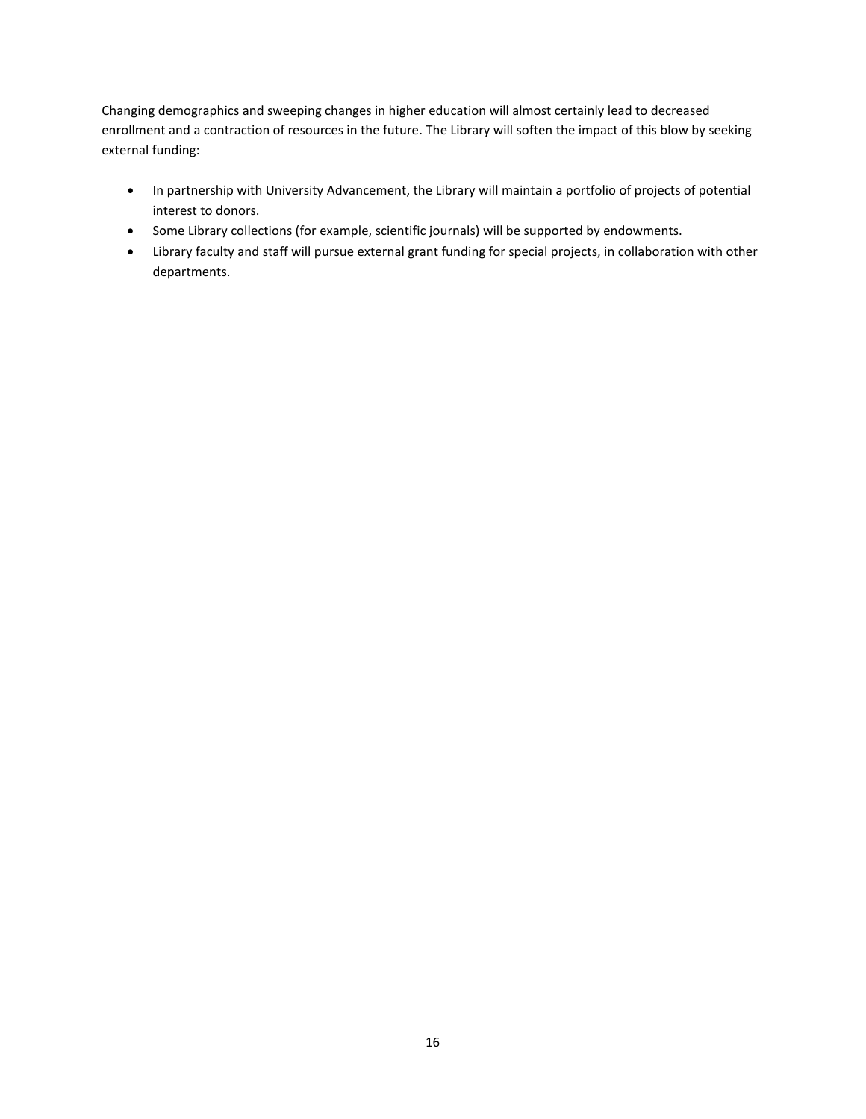Changing demographics and sweeping changes in higher education will almost certainly lead to decreased enrollment and a contraction of resources in the future. The Library will soften the impact of this blow by seeking external funding:

- In partnership with University Advancement, the Library will maintain a portfolio of projects of potential interest to donors.
- Some Library collections (for example, scientific journals) will be supported by endowments.
- Library faculty and staff will pursue external grant funding for special projects, in collaboration with other departments.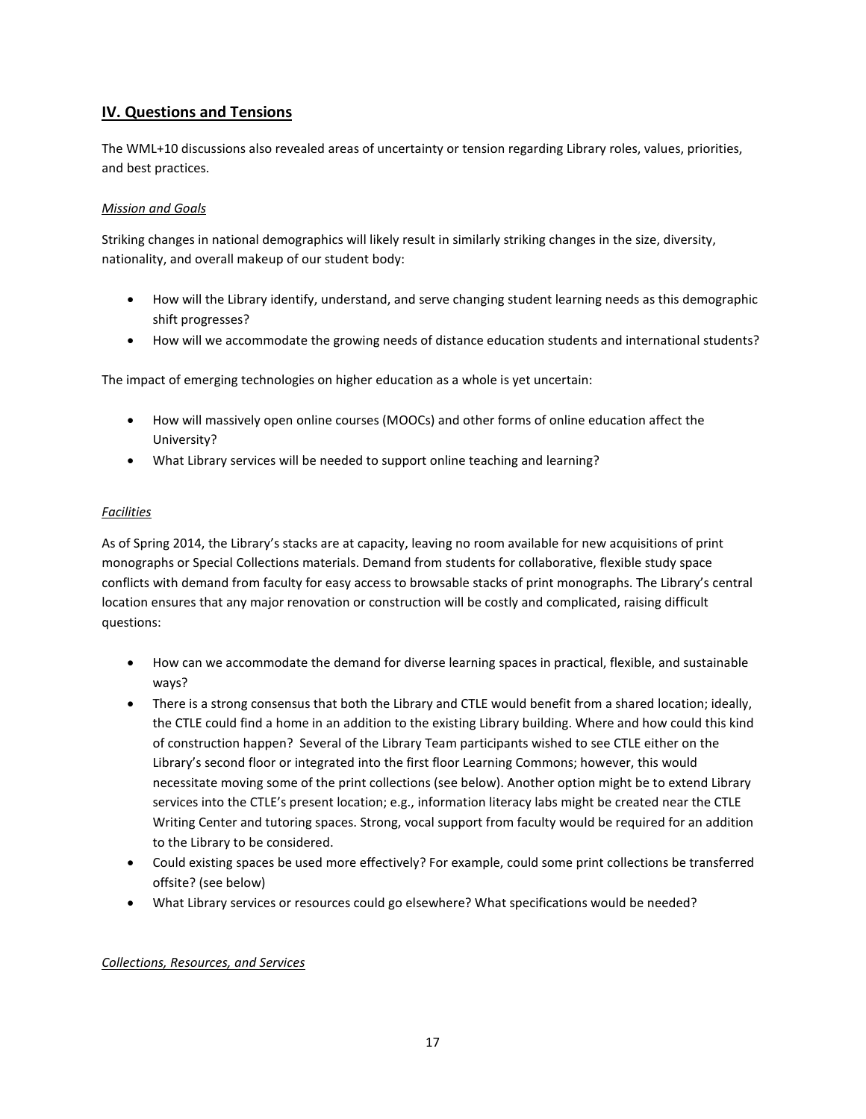# **IV. Questions and Tensions**

The WML+10 discussions also revealed areas of uncertainty or tension regarding Library roles, values, priorities, and best practices.

## *Mission and Goals*

Striking changes in national demographics will likely result in similarly striking changes in the size, diversity, nationality, and overall makeup of our student body:

- How will the Library identify, understand, and serve changing student learning needs as this demographic shift progresses?
- How will we accommodate the growing needs of distance education students and international students?

The impact of emerging technologies on higher education as a whole is yet uncertain:

- How will massively open online courses (MOOCs) and other forms of online education affect the University?
- What Library services will be needed to support online teaching and learning?

## *Facilities*

As of Spring 2014, the Library's stacks are at capacity, leaving no room available for new acquisitions of print monographs or Special Collections materials. Demand from students for collaborative, flexible study space conflicts with demand from faculty for easy access to browsable stacks of print monographs. The Library's central location ensures that any major renovation or construction will be costly and complicated, raising difficult questions:

- How can we accommodate the demand for diverse learning spaces in practical, flexible, and sustainable ways?
- There is a strong consensus that both the Library and CTLE would benefit from a shared location; ideally, the CTLE could find a home in an addition to the existing Library building. Where and how could this kind of construction happen? Several of the Library Team participants wished to see CTLE either on the Library's second floor or integrated into the first floor Learning Commons; however, this would necessitate moving some of the print collections (see below). Another option might be to extend Library services into the CTLE's present location; e.g., information literacy labs might be created near the CTLE Writing Center and tutoring spaces. Strong, vocal support from faculty would be required for an addition to the Library to be considered.
- Could existing spaces be used more effectively? For example, could some print collections be transferred offsite? (see below)
- What Library services or resources could go elsewhere? What specifications would be needed?

### *Collections, Resources, and Services*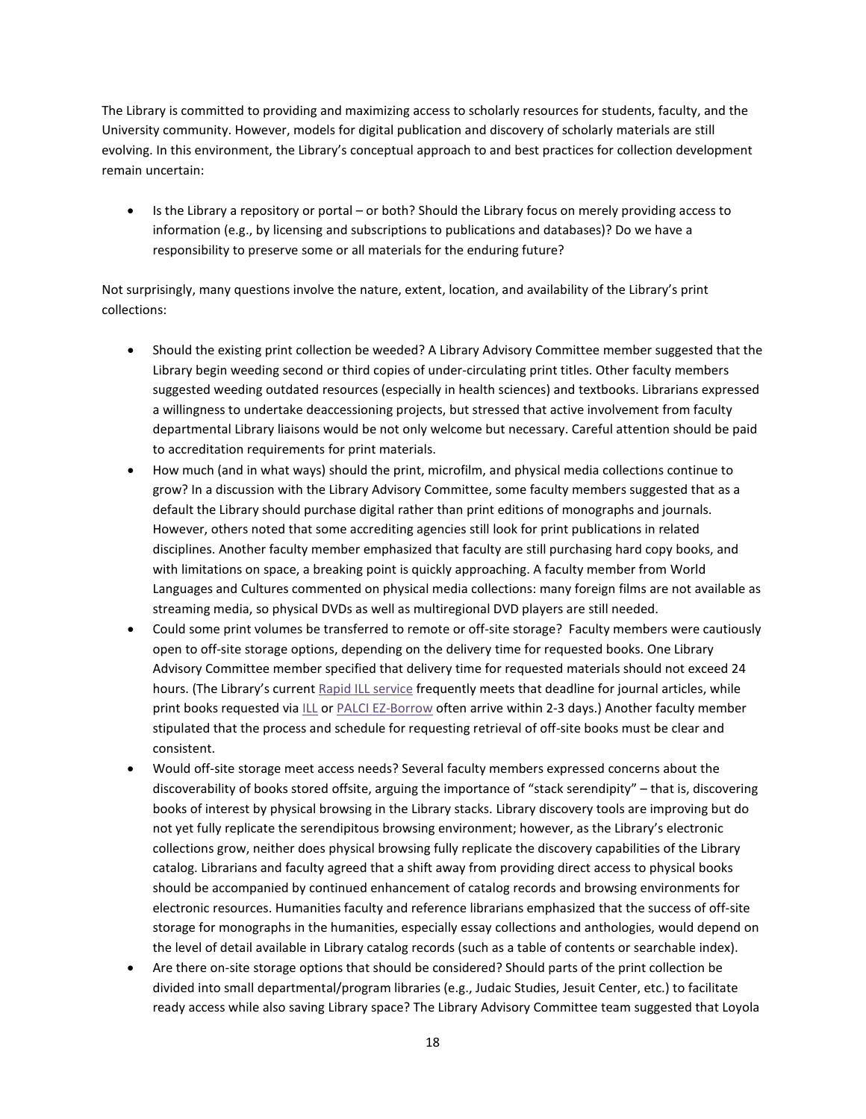The Library is committed to providing and maximizing access to scholarly resources for students, faculty, and the University community. However, models for digital publication and discovery of scholarly materials are still evolving. In this environment, the Library's conceptual approach to and best practices for collection development remain uncertain:

• Is the Library a repository or portal – or both? Should the Library focus on merely providing access to information (e.g., by licensing and subscriptions to publications and databases)? Do we have a responsibility to preserve some or all materials for the enduring future?

Not surprisingly, many questions involve the nature, extent, location, and availability of the Library's print collections:

- Should the existing print collection be weeded? A Library Advisory Committee member suggested that the Library begin weeding second or third copies of under-circulating print titles. Other faculty members suggested weeding outdated resources (especially in health sciences) and textbooks. Librarians expressed a willingness to undertake deaccessioning projects, but stressed that active involvement from faculty departmental Library liaisons would be not only welcome but necessary. Careful attention should be paid to accreditation requirements for print materials.
- How much (and in what ways) should the print, microfilm, and physical media collections continue to grow? In a discussion with the Library Advisory Committee, some faculty members suggested that as a default the Library should purchase digital rather than print editions of monographs and journals. However, others noted that some accrediting agencies still look for print publications in related disciplines. Another faculty member emphasized that faculty are still purchasing hard copy books, and with limitations on space, a breaking point is quickly approaching. A faculty member from World Languages and Cultures commented on physical media collections: many foreign films are not available as streaming media, so physical DVDs as well as multiregional DVD players are still needed.
- Could some print volumes be transferred to remote or off-site storage? Faculty members were cautiously open to off-site storage options, depending on the delivery time for requested books. One Library Advisory Committee member specified that delivery time for requested materials should not exceed 24 hours. (The Library's curren[t Rapid ILL service](https://illiad.scranton.edu/illiad/logon.html) frequently meets that deadline for journal articles, while print books requested via [ILL](https://illiad.scranton.edu/illiad/logon.html) or [PALCI EZ-Borrow](http://www.scranton.edu/academics/wml/ezborrow.shtml) often arrive within 2-3 days.) Another faculty member stipulated that the process and schedule for requesting retrieval of off-site books must be clear and consistent.
- Would off-site storage meet access needs? Several faculty members expressed concerns about the discoverability of books stored offsite, arguing the importance of "stack serendipity" – that is, discovering books of interest by physical browsing in the Library stacks. Library discovery tools are improving but do not yet fully replicate the serendipitous browsing environment; however, as the Library's electronic collections grow, neither does physical browsing fully replicate the discovery capabilities of the Library catalog. Librarians and faculty agreed that a shift away from providing direct access to physical books should be accompanied by continued enhancement of catalog records and browsing environments for electronic resources. Humanities faculty and reference librarians emphasized that the success of off-site storage for monographs in the humanities, especially essay collections and anthologies, would depend on the level of detail available in Library catalog records (such as a table of contents or searchable index).
- Are there on-site storage options that should be considered? Should parts of the print collection be divided into small departmental/program libraries (e.g., Judaic Studies, Jesuit Center, etc.) to facilitate ready access while also saving Library space? The Library Advisory Committee team suggested that Loyola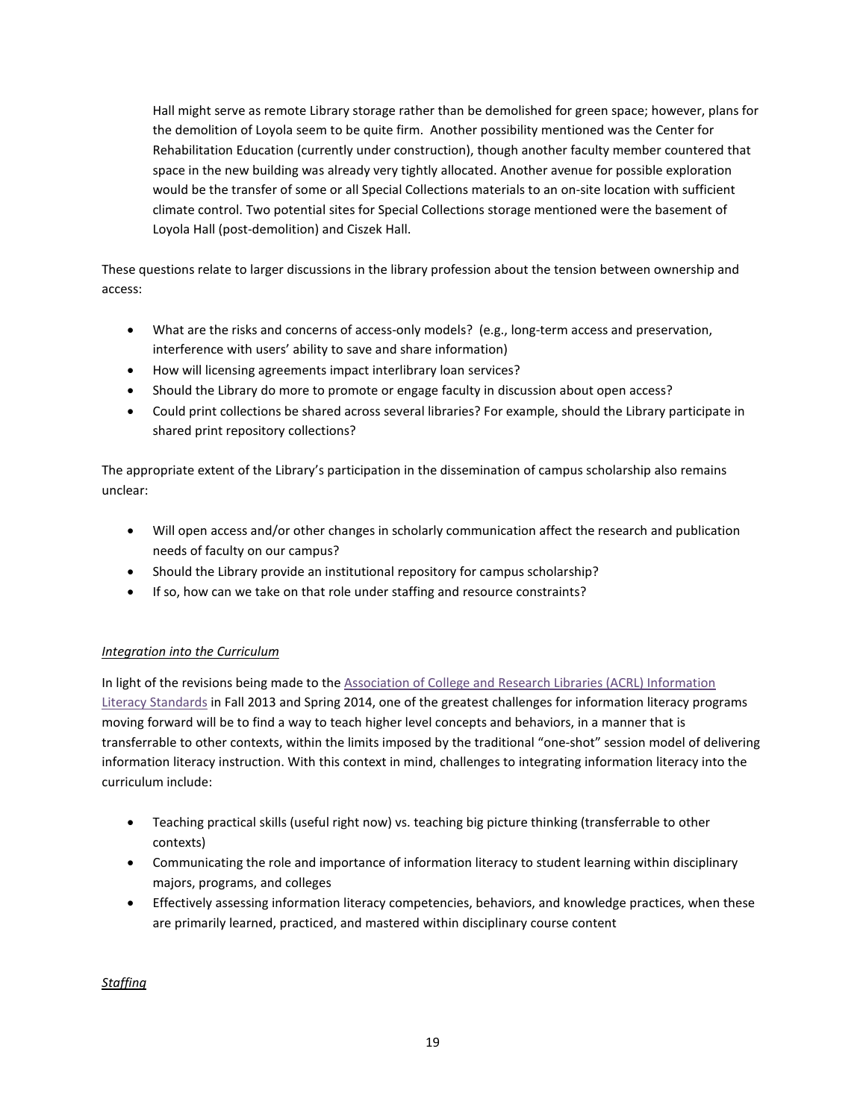Hall might serve as remote Library storage rather than be demolished for green space; however, plans for the demolition of Loyola seem to be quite firm. Another possibility mentioned was the Center for Rehabilitation Education (currently under construction), though another faculty member countered that space in the new building was already very tightly allocated. Another avenue for possible exploration would be the transfer of some or all Special Collections materials to an on-site location with sufficient climate control. Two potential sites for Special Collections storage mentioned were the basement of Loyola Hall (post-demolition) and Ciszek Hall.

These questions relate to larger discussions in the library profession about the tension between ownership and access:

- What are the risks and concerns of access-only models? (e.g., long-term access and preservation, interference with users' ability to save and share information)
- How will licensing agreements impact interlibrary loan services?
- Should the Library do more to promote or engage faculty in discussion about open access?
- Could print collections be shared across several libraries? For example, should the Library participate in shared print repository collections?

The appropriate extent of the Library's participation in the dissemination of campus scholarship also remains unclear:

- Will open access and/or other changes in scholarly communication affect the research and publication needs of faculty on our campus?
- Should the Library provide an institutional repository for campus scholarship?
- If so, how can we take on that role under staffing and resource constraints?

### *Integration into the Curriculum*

In light of the revisions being made to the Association of College and Research Libraries (ACRL) Information [Literacy Standards](http://acrl.ala.org/ilstandards/) in Fall 2013 and Spring 2014, one of the greatest challenges for information literacy programs moving forward will be to find a way to teach higher level concepts and behaviors, in a manner that is transferrable to other contexts, within the limits imposed by the traditional "one-shot" session model of delivering information literacy instruction. With this context in mind, challenges to integrating information literacy into the curriculum include:

- Teaching practical skills (useful right now) vs. teaching big picture thinking (transferrable to other contexts)
- Communicating the role and importance of information literacy to student learning within disciplinary majors, programs, and colleges
- Effectively assessing information literacy competencies, behaviors, and knowledge practices, when these are primarily learned, practiced, and mastered within disciplinary course content

*Staffing*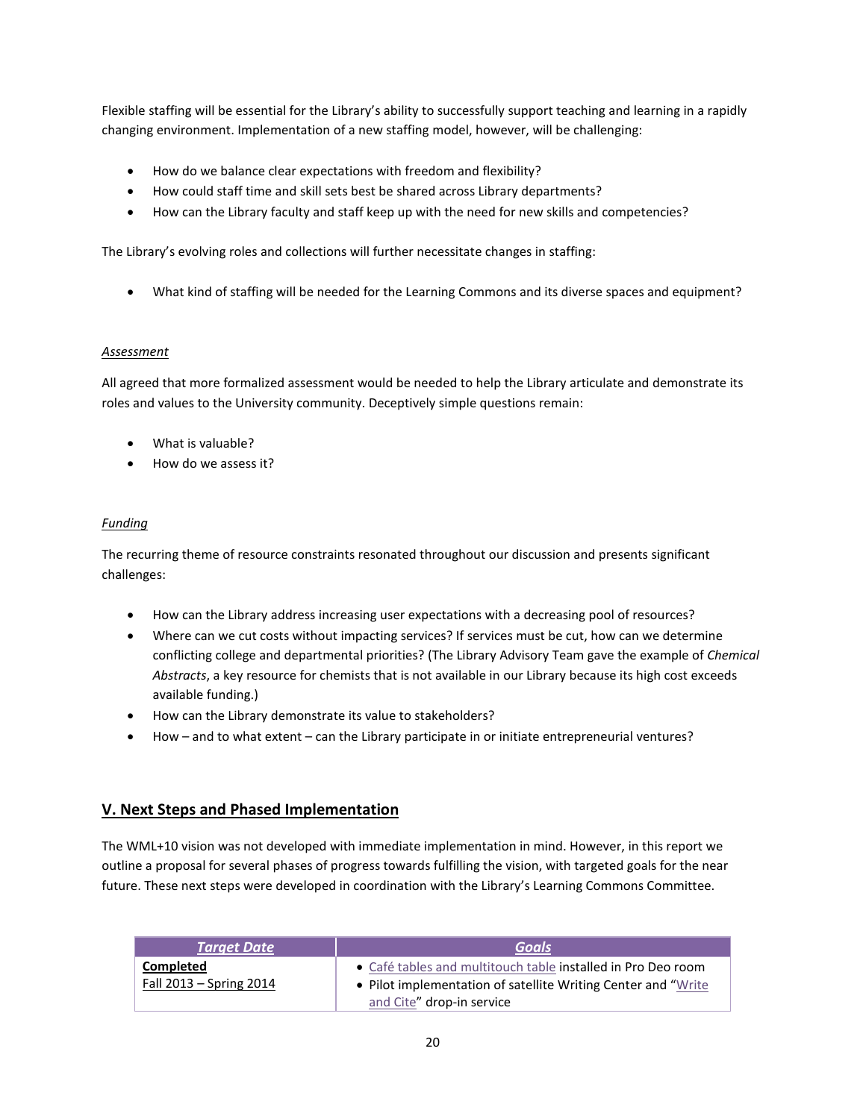Flexible staffing will be essential for the Library's ability to successfully support teaching and learning in a rapidly changing environment. Implementation of a new staffing model, however, will be challenging:

- How do we balance clear expectations with freedom and flexibility?
- How could staff time and skill sets best be shared across Library departments?
- How can the Library faculty and staff keep up with the need for new skills and competencies?

The Library's evolving roles and collections will further necessitate changes in staffing:

• What kind of staffing will be needed for the Learning Commons and its diverse spaces and equipment?

#### *Assessment*

All agreed that more formalized assessment would be needed to help the Library articulate and demonstrate its roles and values to the University community. Deceptively simple questions remain:

- What is valuable?
- How do we assess it?

#### *Funding*

The recurring theme of resource constraints resonated throughout our discussion and presents significant challenges:

- How can the Library address increasing user expectations with a decreasing pool of resources?
- Where can we cut costs without impacting services? If services must be cut, how can we determine conflicting college and departmental priorities? (The Library Advisory Team gave the example of *Chemical Abstracts*, a key resource for chemists that is not available in our Library because its high cost exceeds available funding.)
- How can the Library demonstrate its value to stakeholders?
- How and to what extent can the Library participate in or initiate entrepreneurial ventures?

# **V. Next Steps and Phased Implementation**

The WML+10 vision was not developed with immediate implementation in mind. However, in this report we outline a proposal for several phases of progress towards fulfilling the vision, with targeted goals for the near future. These next steps were developed in coordination with the Library's Learning Commons Committee.

| <b>Target Date</b>                     | Goals                                                                                                                                                       |
|----------------------------------------|-------------------------------------------------------------------------------------------------------------------------------------------------------------|
| Completed<br>Fall $2013 -$ Spring 2014 | • Café tables and multitouch table installed in Pro Deo room<br>• Pilot implementation of satellite Writing Center and "Write"<br>and Cite" drop-in service |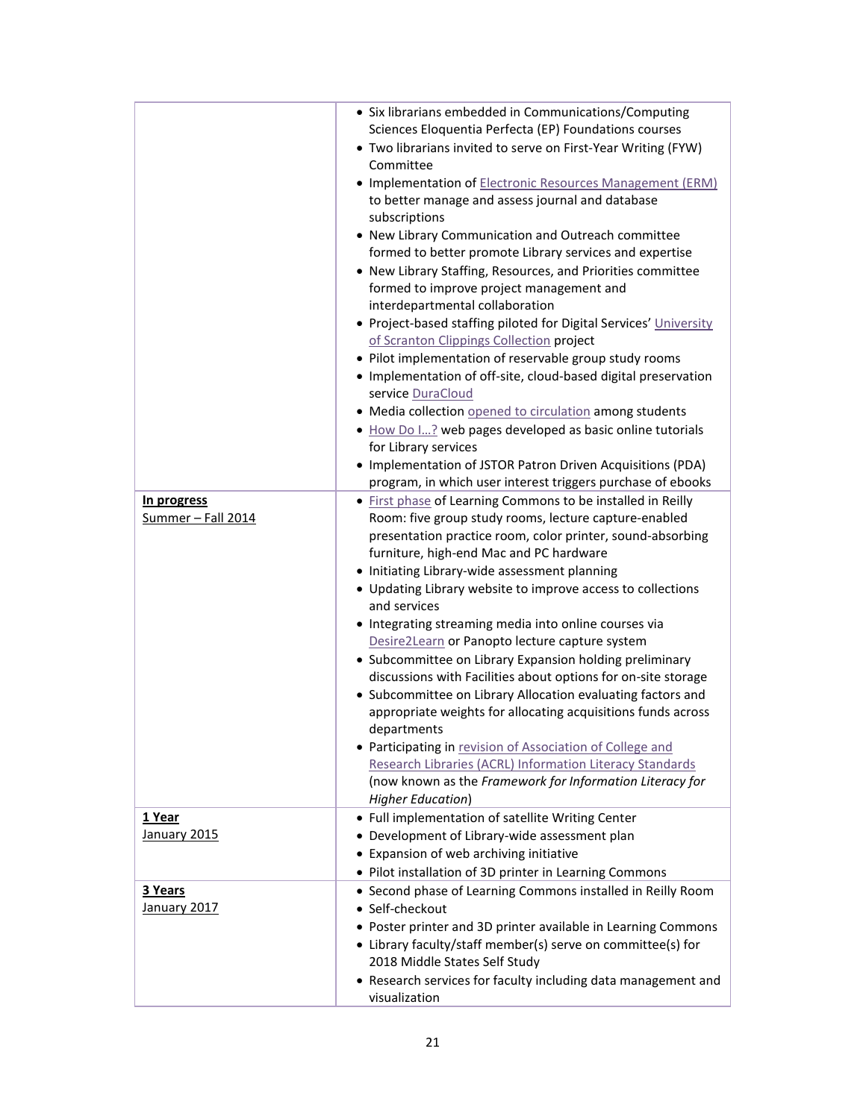|                                   | • Six librarians embedded in Communications/Computing<br>Sciences Eloquentia Perfecta (EP) Foundations courses<br>• Two librarians invited to serve on First-Year Writing (FYW)<br>Committee<br>• Implementation of Electronic Resources Management (ERM)<br>to better manage and assess journal and database<br>subscriptions<br>• New Library Communication and Outreach committee<br>formed to better promote Library services and expertise<br>• New Library Staffing, Resources, and Priorities committee<br>formed to improve project management and<br>interdepartmental collaboration<br>• Project-based staffing piloted for Digital Services' University<br>of Scranton Clippings Collection project<br>• Pilot implementation of reservable group study rooms<br>• Implementation of off-site, cloud-based digital preservation<br>service DuraCloud<br>• Media collection opened to circulation among students<br>. How Do I? web pages developed as basic online tutorials<br>for Library services<br>• Implementation of JSTOR Patron Driven Acquisitions (PDA)<br>program, in which user interest triggers purchase of ebooks |
|-----------------------------------|----------------------------------------------------------------------------------------------------------------------------------------------------------------------------------------------------------------------------------------------------------------------------------------------------------------------------------------------------------------------------------------------------------------------------------------------------------------------------------------------------------------------------------------------------------------------------------------------------------------------------------------------------------------------------------------------------------------------------------------------------------------------------------------------------------------------------------------------------------------------------------------------------------------------------------------------------------------------------------------------------------------------------------------------------------------------------------------------------------------------------------------------|
| In progress<br>Summer - Fall 2014 | • First phase of Learning Commons to be installed in Reilly<br>Room: five group study rooms, lecture capture-enabled<br>presentation practice room, color printer, sound-absorbing<br>furniture, high-end Mac and PC hardware<br>• Initiating Library-wide assessment planning<br>• Updating Library website to improve access to collections<br>and services<br>• Integrating streaming media into online courses via<br>Desire2Learn or Panopto lecture capture system<br>• Subcommittee on Library Expansion holding preliminary<br>discussions with Facilities about options for on-site storage<br>• Subcommittee on Library Allocation evaluating factors and<br>appropriate weights for allocating acquisitions funds across<br>departments<br>• Participating in revision of Association of College and<br>Research Libraries (ACRL) Information Literacy Standards<br>(now known as the Framework for Information Literacy for<br><b>Higher Education)</b>                                                                                                                                                                          |
| <u>1 Year</u><br>January 2015     | • Full implementation of satellite Writing Center<br>• Development of Library-wide assessment plan<br>• Expansion of web archiving initiative<br>• Pilot installation of 3D printer in Learning Commons                                                                                                                                                                                                                                                                                                                                                                                                                                                                                                                                                                                                                                                                                                                                                                                                                                                                                                                                      |
| 3 Years<br><b>January 2017</b>    | • Second phase of Learning Commons installed in Reilly Room<br>· Self-checkout<br>• Poster printer and 3D printer available in Learning Commons<br>• Library faculty/staff member(s) serve on committee(s) for<br>2018 Middle States Self Study<br>• Research services for faculty including data management and<br>visualization                                                                                                                                                                                                                                                                                                                                                                                                                                                                                                                                                                                                                                                                                                                                                                                                            |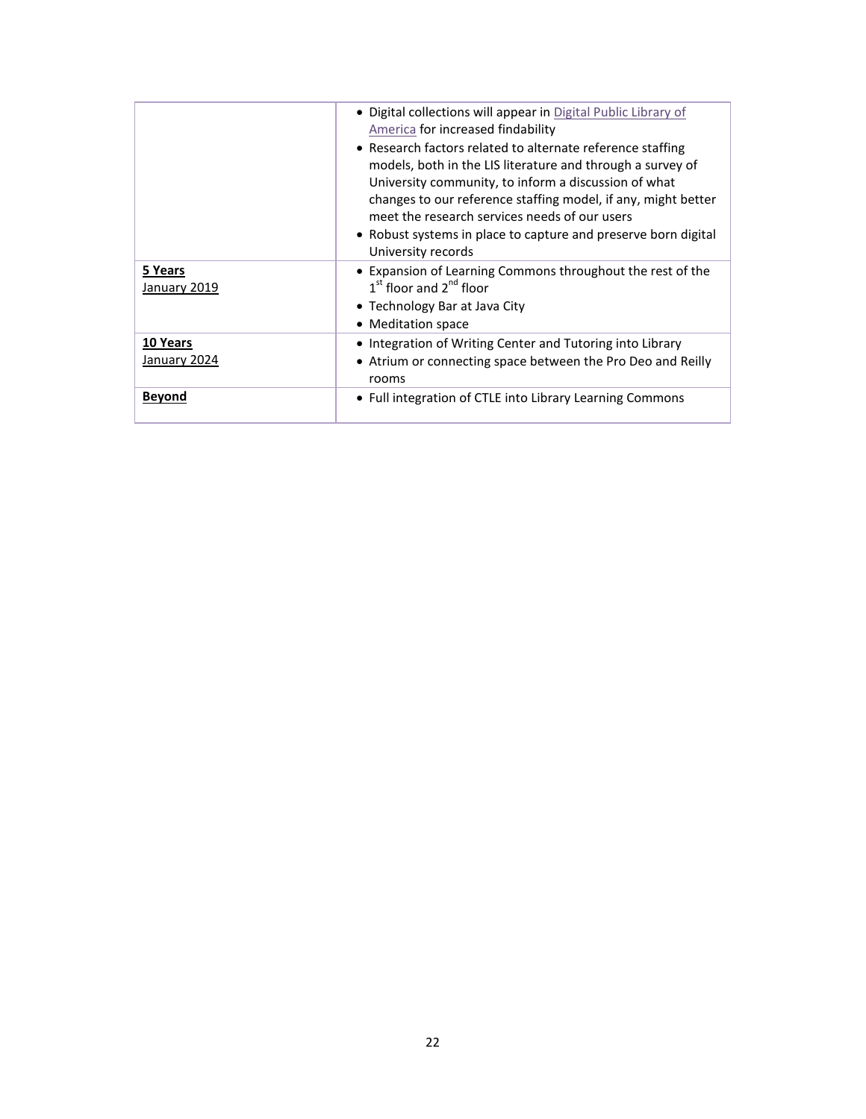|                          | • Digital collections will appear in Digital Public Library of<br>America for increased findability<br>• Research factors related to alternate reference staffing<br>models, both in the LIS literature and through a survey of<br>University community, to inform a discussion of what<br>changes to our reference staffing model, if any, might better<br>meet the research services needs of our users<br>• Robust systems in place to capture and preserve born digital<br>University records |
|--------------------------|---------------------------------------------------------------------------------------------------------------------------------------------------------------------------------------------------------------------------------------------------------------------------------------------------------------------------------------------------------------------------------------------------------------------------------------------------------------------------------------------------|
| 5 Years<br>January 2019  | • Expansion of Learning Commons throughout the rest of the<br>$1st$ floor and $2nd$ floor<br>• Technology Bar at Java City<br>• Meditation space                                                                                                                                                                                                                                                                                                                                                  |
| 10 Years<br>January 2024 | • Integration of Writing Center and Tutoring into Library<br>• Atrium or connecting space between the Pro Deo and Reilly<br>rooms                                                                                                                                                                                                                                                                                                                                                                 |
| <b>Bevond</b>            | • Full integration of CTLE into Library Learning Commons                                                                                                                                                                                                                                                                                                                                                                                                                                          |